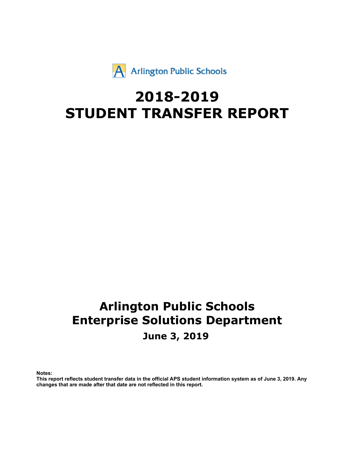# #  $$%$

 $\sim 1$ 

 $\mathbf{I}$ 

 $\mathbf{u}$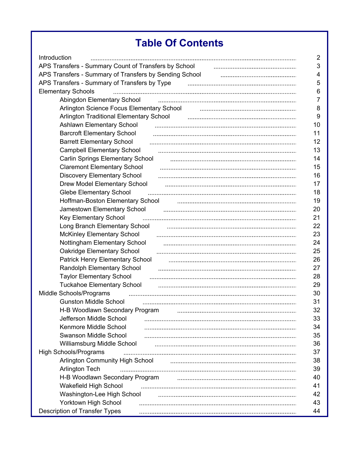|                          | Ш<br>#                           |                      |
|--------------------------|----------------------------------|----------------------|
| 4                        |                                  |                      |
|                          | $\overline{7}$                   | ξ                    |
|                          |                                  |                      |
|                          |                                  |                      |
|                          |                                  |                      |
|                          |                                  |                      |
|                          |                                  |                      |
|                          |                                  |                      |
|                          |                                  |                      |
|                          | 6                                |                      |
|                          | 6                                |                      |
|                          | 7                                | ξ                    |
|                          |                                  |                      |
|                          | 7                                |                      |
|                          | 7                                |                      |
|                          | 8                                |                      |
|                          | 8                                |                      |
|                          | 1                                |                      |
|                          | 9<br>6                           |                      |
|                          | %                                |                      |
|                          | $\blacksquare$                   |                      |
|                          | 6                                |                      |
|                          | $\overline{ }$                   | ξ                    |
|                          | <                                |                      |
|                          | 0<br>$\mathcal{E}$               |                      |
|                          | 9<br>0                           |                      |
|                          |                                  |                      |
|                          |                                  |                      |
|                          | 0                                |                      |
|                          |                                  |                      |
| $\overline{\phantom{a}}$ | ۷                                | &                    |
|                          | 1                                | $\&$                 |
|                          | 9<br>6 A                         | $\&$                 |
|                          | $\%$<br>$\overline{\phantom{a}}$ | $\&$                 |
|                          | (                                | $\&$                 |
|                          |                                  | $\&$                 |
|                          | A<br>$\,$                        | $\&$                 |
| 9                        | $\overline{2}$                   | $\&$                 |
|                          | $\overline{7}$<br>$9\,$          | $\&$                 |
|                          |                                  | $\&$                 |
|                          | 9<br>6 A                         | $\ddot{?}$           |
|                          | $\mathsf{A}$<br>$\mathbf 0$<br>9 | $\ddot{\phantom{0}}$ |
|                          | A<br>9                           | $\ddot{\phantom{0}}$ |
|                          | B<br>0<br>9                      | $\ddot{?}$           |
|                          |                                  | $\ddot{?}$           |
| 8                        |                                  |                      |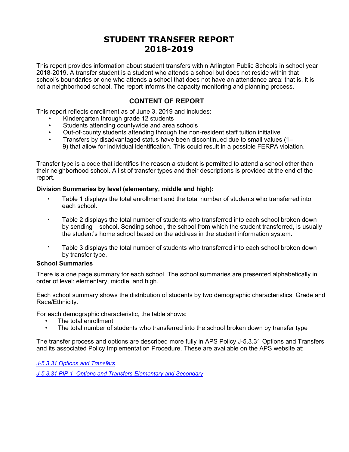<span id="page-2-0"></span>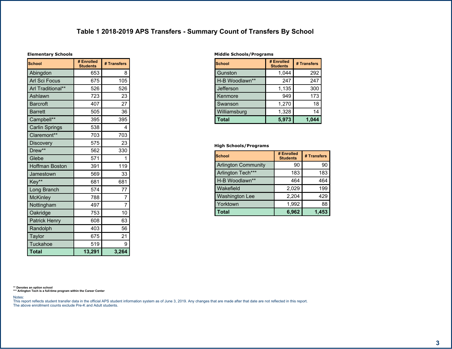| п | ı | 8 |
|---|---|---|
|   |   |   |
|   |   |   |

<span id="page-3-0"></span>

| <br>Ţ<br>ă                      |                                   |                          |
|---------------------------------|-----------------------------------|--------------------------|
|                                 | $\overline{\$}$<br>$\overline{0}$ | $\mathbf{0}$             |
|                                 | $=$ 3                             |                          |
|                                 | $=$ >                             | $\overline{3}$           |
|                                 | $\overline{3}$<br>Ξ               | :<br>3                   |
|                                 | p<br>$\overline{a}$               | $\overline{\mathcal{S}}$ |
| $\overline{6}$                  | $\overline{?}$<br>$\overline{ }$  | $\geq$                   |
| $\overline{6}$                  | $\overline{3}$<br>3               | &                        |
| $\overline{7}$<br>55            | &                                 | &                        |
| $\overline{7}$                  | 3 &                               | $\ddot{\phantom{0}}$     |
| $\overline{7}$<br>55            | $\overline{\phantom{0}}$<br>8     | $\geq$                   |
| $\overline{8}$                  | $\frac{1}{3}$                     | $\overline{8}$           |
| 8<br>55                         | $\overline{3}$ =                  | & &                      |
| $\overline{1}$                  | $\overline{3}$                    |                          |
| $\overline{9}$<br>6             | $\overline{\mathbf{8}}$           |                          |
| $\%$                            | $3 =$                             | &                        |
| 55<br>$\overline{\mathcal{L}}$  | $=$                               | $=$                      |
| $\overline{\cdot}$<br>6         | 3 >                               | $\geq$                   |
| $\frac{1}{2}$<br>$\overline{(}$ | $\overline{\phantom{0}}$          | $\overline{a}$           |
| $\prec$                         | $\overline{?}$<br>$\overline{ }$  | $\geq$                   |
| $\big)$<br>$\mathbf 0$          | $\geq 3$                          |                          |
| $\overline{0}$<br>9             | $=$                               | $=$                      |
| $\boldsymbol{/}$                | $\overline{\mathcal{C}}$<br>8     | 3:                       |
|                                 | $=$ >                             |                          |
| $\mathbf 0$                     | 3                                 |                          |
|                                 |                                   | $\ddot{\phantom{1}}$     |
|                                 |                                   |                          |

| ٠<br>$\prime$ | ι"             |                |   |
|---------------|----------------|----------------|---|
|               |                | 0 <sup>5</sup> |   |
|               |                | \$<br>2        |   |
| 9 6 A         | 5 <sub>5</sub> | 7              |   |
| $\%$          |                | \$<br>ጸ        | & |
|               |                |                | ` |
|               |                | \$<br>>        |   |
| A             |                | \$8            |   |
|               |                | 3              |   |

 $\begin{pmatrix} * & * & * \end{pmatrix}$ 

 $\mathcal{L}(\mathcal{L})$  and  $\mathcal{L}(\mathcal{L})$  and  $\mathcal{L}(\mathcal{L})$  . The contract of the contract of  $\mathcal{L}(\mathcal{L})$ 

|               | 0 <sup>5</sup> | n   |
|---------------|----------------|-----|
|               |                |     |
| 555           |                |     |
| 55<br>9 6 A   | ?<br>=         | $=$ |
| $A$ 0         |                |     |
| A             |                |     |
| B<br>$\Omega$ |                |     |
|               |                | 23  |

 $\leftarrow$  #

 $\%$  & \$ !

 $\mathcal{L}^{\text{max}}_{\text{max}}$  . The  $\mathcal{L}^{\text{max}}_{\text{max}}$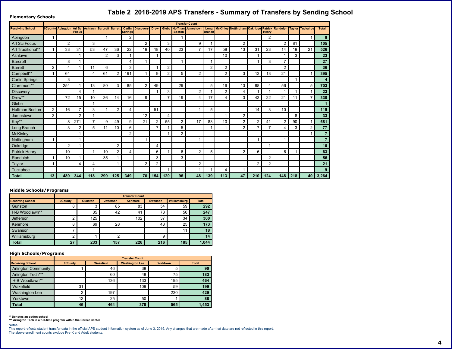| $"$ $\frac{1}{8}$                                  |   |                       |                       |                |                   |                       |                          |                |                | $, -$          |                |            |                |                   |                |                       |                |                |                          |             |                         |
|----------------------------------------------------|---|-----------------------|-----------------------|----------------|-------------------|-----------------------|--------------------------|----------------|----------------|----------------|----------------|------------|----------------|-------------------|----------------|-----------------------|----------------|----------------|--------------------------|-------------|-------------------------|
|                                                    |   |                       |                       |                |                   |                       |                          |                |                |                |                | $\sim 0.1$ |                |                   |                |                       |                |                |                          |             |                         |
| 8<br>$\left( \begin{array}{c} \end{array} \right)$ |   |                       | %                     | 6              |                   |                       |                          |                | $6 \mid$       | $\overline{7}$ | $\vert$ 8      | 6          | 9              | ÷                 |                | $#$ ;                 | 8              | &              |                          |             |                         |
|                                                    |   |                       |                       |                |                   |                       |                          |                |                |                |                |            |                |                   |                |                       |                |                |                          |             |                         |
| $\overline{\phantom{a}}$                           |   |                       |                       | $\alpha$       |                   |                       |                          |                |                | &              |                |            |                |                   |                |                       |                |                |                          |             | $\mathbf{3}$            |
|                                                    |   | & &                   | &                     | 38             | ?                 | $8 =$                 |                          |                |                | $\overline{?}$ | &              | $\,>$      | $\geq$         | 3                 | &              | &                     | 8 <sub>l</sub> | $\gamma$       |                          |             | 3 <sup>7</sup>          |
|                                                    |   |                       |                       |                |                   | &                     |                          |                |                |                |                |            |                |                   |                |                       |                |                | &                        |             |                         |
| 6                                                  |   |                       |                       |                |                   |                       | $\overline{?}$           |                |                |                |                |            |                |                   |                |                       | 8 <sub>l</sub> | $\, >$         |                          |             | $\overline{4}$          |
| 6                                                  |   | $\boldsymbol{\gamma}$ |                       |                | $\qquad \qquad =$ |                       | &                        |                |                |                |                |            |                |                   |                |                       |                |                |                          |             |                         |
| 55<br>$\overline{7}$                               |   | $= ?$                 |                       | $\gamma$       | $\equiv$          |                       |                          |                |                |                | 3              |            |                |                   | &              | &                     | 8 <sub>l</sub> |                |                          |             | 3                       |
| $\overline{7}$                                     |   | &                     |                       |                |                   |                       |                          |                |                |                |                |            |                |                   |                |                       |                |                |                          |             | $\overline{2}$          |
| 55<br>$\overline{7}$                               |   | 3 <sub>2</sub>        |                       | 8 <sub>l</sub> |                   | 8 <sub>l</sub>        | $\vert$ 3                |                | $\overline{?}$ |                |                |            | 3              | $\qquad \qquad =$ | 8 <sub>l</sub> |                       | $\overline{?}$ | $3 =$          |                          | 3           | $\overline{4}$          |
| 8                                                  |   |                       | $\boldsymbol{\gamma}$ |                |                   |                       |                          |                |                | &              |                |            |                |                   | $\overline{?}$ |                       |                |                |                          |             |                         |
| 8<br>55                                            |   | $\geq$                | $\vert$ 3             |                | $8 =$             | $\boldsymbol{\gamma}$ | $=$                      |                |                | $\geq$         |                | $\gamma$   | $\geq$         | $\mathcal{P}$     | ୍ଷା            | ?&                    |                |                |                          | $\geq$      |                         |
| $\overline{1}$                                     |   |                       |                       |                |                   |                       |                          |                |                |                |                |            |                |                   |                |                       |                |                |                          |             |                         |
| 9<br>$6\phantom{1}$                                |   | $=$                   | $\geq$                | 8 <sub>l</sub> |                   |                       | $\gamma$                 |                | $\mathbf{3}$   |                |                |            | 3 <sup>1</sup> |                   |                | $\boldsymbol{\gamma}$ | &              |                |                          |             |                         |
| $\%$                                               | & |                       |                       |                |                   |                       |                          |                |                | $\overline{?}$ |                |            |                |                   |                |                       |                |                |                          |             |                         |
| 55<br>$\sqrt{2}$                                   |   |                       | $\geq$                | $\geq$         |                   | $\overline{?}$        |                          |                |                | 33             |                | $\geq$     | &              |                   |                |                       | $\overline{?}$ |                |                          |             | 1,                      |
| $6\phantom{1}$<br>$\mathcal{A}$                    |   | &                     |                       | 3              |                   |                       | $=$                      |                | $\geq$         |                | 3              |            |                |                   |                | $\geq$                | $\geq$         | $\overline{?}$ | &                        |             | 44                      |
| ; (                                                |   |                       |                       |                |                   |                       |                          |                |                |                |                |            |                |                   |                |                       |                |                |                          |             | $\overline{\mathbf{4}}$ |
| $\,<\,$                                            |   |                       |                       |                |                   |                       |                          |                |                |                |                |            |                |                   |                |                       |                |                |                          |             | $\overline{4}$          |
| $\vert$ ) 0                                        |   |                       |                       |                |                   |                       |                          |                | ?              |                |                |            |                |                   |                |                       |                |                |                          |             |                         |
| 0 <sub>9</sub>                                     |   |                       |                       |                |                   |                       | $\overline{\phantom{0}}$ |                | $=$            |                | $\equiv$       |            | 3              |                   |                | $=$                   |                | $=$            |                          |             | $\overline{1}$          |
| $\vert$ /                                          |   |                       |                       |                | & 3               |                       |                          |                | &l             |                | &              |            |                |                   |                |                       |                |                |                          |             | $\overline{31}$         |
|                                                    |   |                       | $\mathcal{P}$         | $\overline{?}$ |                   |                       |                          |                |                |                |                |            |                |                   |                |                       |                |                |                          |             |                         |
| $\overline{0}$                                     |   |                       |                       |                |                   |                       |                          |                |                |                |                |            |                | $\mathcal{P}$     |                |                       |                |                |                          |             |                         |
|                                                    |   | 2,                    | 22                    |                |                   | 3 <sup>1</sup>        | $2^{\circ}$              | $\overline{4}$ | 3 <sub>2</sub> |                | 1 <sup>1</sup> | 2,         |                |                   | 24             |                       | 2              | 2,             | $\overline{\phantom{a}}$ | $2^{\circ}$ | 1 <sup>1</sup>          |

and the state of the state of the

 $\overline{\phantom{a}}$  ,  $\overline{\phantom{a}}$ 

 $\overline{\phantom{a}}$  ) and  $\overline{\phantom{a}}$ 

#### <span id="page-4-0"></span> $\frac{1}{2}$  ((  $\begin{array}{ccc} & 0 & 0 & 0 \\ 0 & 0 & 0 & 0 \\ 0 & 0 & 0 & 0 \\ 0 & 0 & 0 & 0 \\ 0 & 0 & 0 & 0 \\ 0 & 0 & 0 & 0 \\ 0 & 0 & 0 & 0 \\ 0 & 0 & 0 & 0 \\ 0 & 0 & 0 & 0 \\ 0 & 0 & 0 & 0 \\ 0 & 0 & 0 & 0 & 0 \\ 0 & 0 & 0 & 0 & 0 \\ 0 & 0 & 0 & 0 & 0 \\ 0 & 0 & 0 & 0 & 0 \\ 0 & 0 & 0 & 0 & 0 \\ 0 & 0 & 0 & 0 & 0 \\ 0 & 0$

|                   |  |   |   | ╭ |  |                 |  |  |  |  |  |  |  |
|-------------------|--|---|---|---|--|-----------------|--|--|--|--|--|--|--|
| 55<br>6<br>9<br>А |  | ⌒ | ٠ |   |  | C.<br>$\Lambda$ |  |  |  |  |  |  |  |
| $\frac{0}{6}$     |  |   |   |   |  |                 |  |  |  |  |  |  |  |
|                   |  |   |   |   |  |                 |  |  |  |  |  |  |  |
|                   |  |   |   |   |  |                 |  |  |  |  |  |  |  |
|                   |  |   |   |   |  |                 |  |  |  |  |  |  |  |
|                   |  |   |   |   |  |                 |  |  |  |  |  |  |  |

#### $\begin{pmatrix} 1 & 1 \\ 1 & 1 \end{pmatrix}$  $\star$

|                               |        |          | 9          | 6<br>$=$ |  |
|-------------------------------|--------|----------|------------|----------|--|
|                               |        | ⌒        | ີ          |          |  |
| 55                            |        | -<br>=   | $\sqrt{2}$ |          |  |
| 9<br>5 <sub>5</sub><br>6<br>Α |        |          |            |          |  |
|                               |        |          |            | ⌒        |  |
|                               |        |          |            |          |  |
| D                             |        |          | ົ          |          |  |
|                               | $\sim$ | $\Omega$ |            | ົ        |  |

 $55$   $\frac{1}{555}$   $\frac{1}{55}$   $\frac{1}{4}$  $\frac{1}{2}$  and  $\frac{1}{2}$  and  $\frac{1}{2}$  and  $\frac{1}{2}$  and  $\frac{1}{2}$  and  $\frac{1}{2}$  and  $\frac{1}{2}$  and  $\frac{1}{2}$  and  $\frac{1}{2}$  and  $\frac{1}{2}$  and  $\frac{1}{2}$  and  $\frac{1}{2}$  and  $\frac{1}{2}$  and  $\frac{1}{2}$  and  $\frac{1}{2}$  and  $\frac{1}{2}$  a

 $% 8S$  !  $^{\circledR}$  $\overline{a}$  $\sim 10^{-10}$  .

 $\sim 10^{-11}$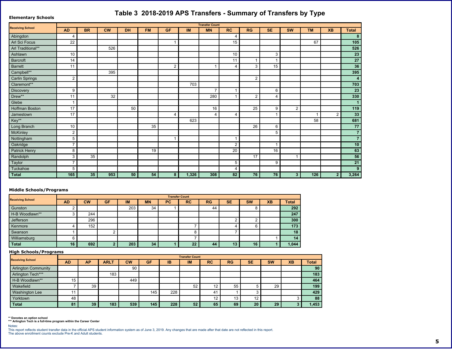| п | & |
|---|---|
|   |   |

| $"$ $\vdots$ &                                   |                |     |              |              |     | $, -$    |       |          |                       | $\blacksquare$ |                |         |       |                  |                         |
|--------------------------------------------------|----------------|-----|--------------|--------------|-----|----------|-------|----------|-----------------------|----------------|----------------|---------|-------|------------------|-------------------------|
| 8 ( !                                            |                |     |              |              |     |          |       | $\sim$   |                       |                |                |         |       |                  |                         |
|                                                  | $\mathbf{L}$   | 8.8 | $"$ $<$ $\,$ | $^{\prime}8$ | % / | 7 %      | >1    |          | 8"                    | & 7            | $\mathfrak{S}$ | $\prec$ |       | $\overline{?}$ . |                         |
|                                                  | ◠              |     |              |              |     |          |       |          | ?                     |                |                |         |       |                  |                         |
| $\sim$                                           |                |     |              |              |     |          |       |          | $\overline{3}$        |                |                |         | $=$ > |                  | 3                       |
| 55                                               |                |     | 3<br>ᆗ       |              |     |          |       |          |                       |                |                |         |       |                  | 3 <sup>7</sup>          |
|                                                  |                |     |              |              |     |          |       |          |                       |                | &              |         |       |                  |                         |
| $6\phantom{.}6$                                  | C              |     |              |              |     |          |       |          |                       |                |                |         |       |                  | 4                       |
| $6\phantom{.}6$                                  |                |     |              |              |     |          |       |          | $\boldsymbol{\gamma}$ | &              | 3I             |         |       |                  |                         |
| $\overline{7}$<br>55                             |                |     | &            |              |     |          |       |          |                       |                |                |         |       |                  | 3                       |
| $\overline{7}$                                   |                |     |              |              |     |          |       |          |                       |                |                |         |       |                  | $\overline{2}$          |
| $\overline{7}$<br>55                             |                |     |              |              |     |          | > 8   |          |                       |                |                |         |       |                  | $\overline{4}$          |
| 8                                                |                |     |              |              |     |          |       | >        |                       |                | $=$            |         |       |                  |                         |
| 8<br>55                                          |                |     | &            |              |     |          |       |          |                       |                |                |         |       |                  |                         |
| $\overline{1}$                                   |                |     |              |              |     |          |       |          |                       |                |                |         |       |                  |                         |
| 9<br>6                                           | >              |     |              | 3            |     |          |       | $=$      |                       | 3              |                |         |       |                  |                         |
| $\frac{9}{6}$                                    | >              |     |              |              |     | $\Omega$ |       | $\gamma$ | $\mathcal{P}$         |                |                |         |       |                  |                         |
| (55                                              |                |     |              |              |     |          | $= 8$ |          |                       |                |                |         | 3     |                  | 1,                      |
| $6\phantom{1}6$<br>$\sim 100$                    |                |     |              |              | & 3 |          |       |          |                       | $=$            | $=$            |         |       |                  | 44                      |
| ; (                                              |                |     |              |              |     |          |       |          |                       |                | $\overline{3}$ |         |       |                  | $\vert 4 \vert$         |
| $\,<$                                            | 3 <sup>1</sup> |     |              |              |     |          |       |          |                       |                |                |         |       |                  | $\overline{\mathbf{4}}$ |
| $\left  \begin{array}{cc} 0 \end{array} \right $ | $\geq$         |     |              |              |     |          |       |          |                       |                |                |         |       |                  |                         |
| 0 <sub>9</sub>                                   |                |     |              |              |     |          |       |          |                       |                | $=$            |         |       |                  | $\mathbf{1}$            |
|                                                  | ୍ଷା            | & 3 |              |              |     |          |       |          |                       | > l            |                |         |       |                  | 31                      |

> 3 -3 ?

1 , 1 , 1 41 41 1

#### '((  $\qquad$  )  $\qquad$  !"

<span id="page-5-0"></span> $\overline{\phantom{0}}$ 

| &.          |   | 7% | ⋗ |  |  | $\alpha$ | & |  |  | . . |  |  |  |  |
|-------------|---|----|---|--|--|----------|---|--|--|-----|--|--|--|--|
|             |   |    |   |  |  |          |   |  |  |     |  |  |  |  |
| 55<br>9 6 A |   |    |   |  |  |          |   |  |  |     |  |  |  |  |
| %           | = |    |   |  |  |          |   |  |  |     |  |  |  |  |
|             |   |    |   |  |  |          |   |  |  |     |  |  |  |  |
|             |   |    |   |  |  |          |   |  |  |     |  |  |  |  |
|             |   |    |   |  |  |          |   |  |  |     |  |  |  |  |
|             |   |    |   |  |  |          |   |  |  |     |  |  |  |  |

13 3 3 3 3 3 4

\*
)!"

| ା &                    |  | & 9 |               | 7% | $>$ . | ⋗ | $\circ$<br>$\alpha$ | $\Omega$<br>$\alpha$ |  | . . |        |
|------------------------|--|-----|---------------|----|-------|---|---------------------|----------------------|--|-----|--------|
|                        |  |     |               |    |       |   |                     |                      |  |     |        |
| 555                    |  |     |               |    |       |   |                     |                      |  |     |        |
| 55<br>9 6 A            |  |     | $\sim$ $\sim$ |    |       |   |                     |                      |  |     | $\sim$ |
| $\sqrt{ }$<br>$\Delta$ |  |     |               |    |       |   |                     |                      |  |     |        |
|                        |  |     |               |    |       |   |                     |                      |  |     | $\sim$ |
| B                      |  |     |               |    |       |   |                     |                      |  |     | 2.7    |
|                        |  |     |               | ∼  |       |   |                     |                      |  |     | 23     |

55' 555! !6 ""

 $\overline{13}$ 

 $\lt$  #

 $@$  $\qquad \qquad \qquad \qquad \qquad$ : 2007 - 2008  $1$  12

,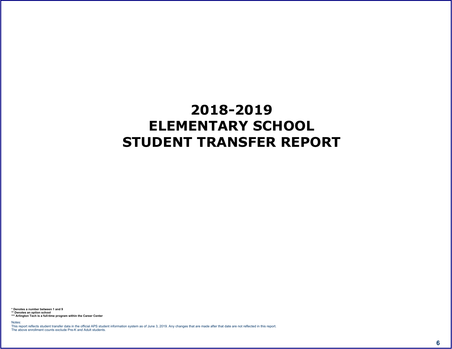<span id="page-6-0"></span>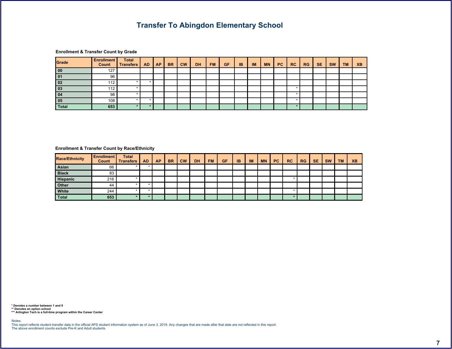$\left| \begin{array}{ccc} 1 & 1 \\ 1 & 1 \end{array} \right|$ 



<span id="page-7-0"></span> $\begin{array}{ccccccccccccccccc}\n\text{\$} & & & & \text{\&} & & & \text{\&} & & \text{\&} & & \text{\&} & & \text{\&} & \text{\&} & \text{\&} & \text{\&} & \text{\&} & \text{\&} & \text{\&} & \text{\&} & \text{\&} & \text{\&} & \text{\&} & \text{\&} & \text{\&} & \text{\&} & \text{\&} & \text{\&} & \text{\&} & \text{\&} & \text{\&} & \text{\&} & \text{\&} & \text{\&} & \text{\&} & \text{\&} & \text{\&} & \text{\&} & \text{\&} & \text{\&} & \text$ 

| &<br>$A$ \$ |  |  | .8/ | $\epsilon$ | $\blacksquare$ | $\frac{9}{6}$ / | $7\%$ > > $ $ > $ $ |  | $\mathbf{u}$ and $\mathbf{v}$ | 8" | & 7 | $\mathbb{S}^-$ |  |  |
|-------------|--|--|-----|------------|----------------|-----------------|---------------------|--|-------------------------------|----|-----|----------------|--|--|
|             |  |  |     |            |                |                 |                     |  |                               |    |     |                |  |  |
|             |  |  |     |            |                |                 |                     |  |                               |    |     |                |  |  |
|             |  |  |     |            |                |                 |                     |  |                               |    |     |                |  |  |
|             |  |  |     |            |                |                 |                     |  |                               |    |     |                |  |  |
|             |  |  |     |            |                |                 |                     |  |                               |    |     |                |  |  |
|             |  |  |     |            |                |                 |                     |  |                               |    |     |                |  |  |

5 ') ) 6<br>55 ' | - | 6 ' '<br>555 ! - | 6 ' '  $\prec$  (  $\#$  )

 $\qquad \qquad \qquad \qquad$ 

 $% 85$   $|$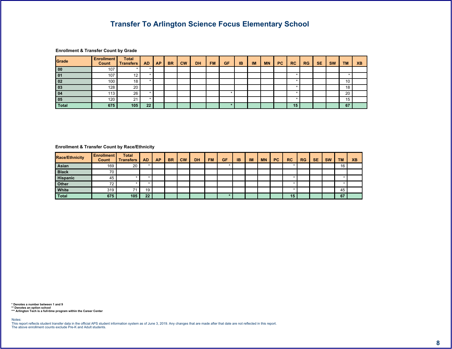| @<br>\$ | $\blacksquare$ | $\overline{7}$<br>$\sim$ $\sim$ $\sim$ |  |      |                         |              |     |     |       |    |  |    |     |         |                      |
|---------|----------------|----------------------------------------|--|------|-------------------------|--------------|-----|-----|-------|----|--|----|-----|---------|----------------------|
|         |                |                                        |  | $-8$ | $\mathbf{H}$<br>$\prec$ | $^{\prime}8$ | % / | 7 % | $>$ . | >1 |  | 8" | & 7 | \$<br>< | ◠<br><b>Contract</b> |
|         |                |                                        |  |      |                         |              |     |     |       |    |  |    |     |         |                      |
|         |                |                                        |  |      |                         |              |     |     |       |    |  |    |     |         |                      |
|         |                |                                        |  |      |                         |              |     |     |       |    |  |    |     |         |                      |
|         |                |                                        |  |      |                         |              |     |     |       |    |  |    |     |         |                      |
|         |                | =                                      |  |      |                         |              |     |     |       |    |  |    |     |         |                      |
|         |                |                                        |  |      |                         |              |     |     |       |    |  |    |     |         |                      |
|         |                |                                        |  |      |                         |              |     |     |       |    |  |    |     |         |                      |

### <span id="page-8-0"></span> $\begin{array}{ccccccccccccccccc}\n\text{\$} & & & & \text{\&} & & & \text{\&} & & \text{\&} & & \text{\&} & & \text{\&} & \text{\&} & \text{\&} & \text{\&} & \text{\&} & \text{\&} & \text{\&} & \text{\&} & \text{\&} & \text{\&} & \text{\&} & \text{\&} & \text{\&} & \text{\&} & \text{\&} & \text{\&} & \text{\&} & \text{\&} & \text{\&} & \text{\&} & \text{\&} & \text{\&} & \text{\&} & \text{\&} & \text{\&} & \text{\&} & \text{\&} & \text{\&} & \text$

| 8 A |  |  | $-8$ | $\blacksquare$ 8 | $\left  \frac{\%}{\%} \right $ 7% > $\left  \frac{\}{\%} \right $ / |  | <b>Contract</b> | 8" | 87 | S. |  |  |
|-----|--|--|------|------------------|---------------------------------------------------------------------|--|-----------------|----|----|----|--|--|
|     |  |  |      |                  |                                                                     |  |                 |    |    |    |  |  |
|     |  |  |      |                  |                                                                     |  |                 |    |    |    |  |  |
|     |  |  |      |                  |                                                                     |  |                 |    |    |    |  |  |
|     |  |  |      |                  |                                                                     |  |                 |    |    |    |  |  |
|     |  |  |      |                  |                                                                     |  |                 |    |    |    |  |  |
|     |  |  |      |                  |                                                                     |  |                 |    |    |    |  |  |

5 ') ) 6<br>55 ' ' - ' | 6<br>555 ! - ' | 6

 $\prec$  (  $\#$  )

 $% 8S$   $|$  $\qquad \qquad \qquad \qquad$   $\qquad \qquad$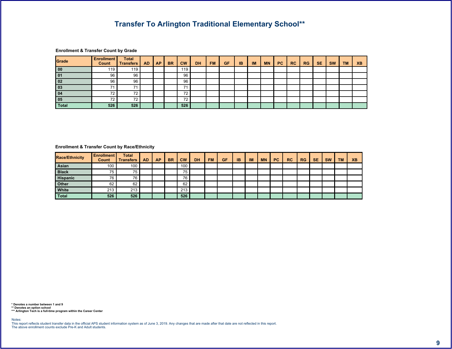55

| $^{\textregistered}$<br>\$ | - 11   |               |  |      |                           |    |     |     |       |    |              |    |     |                |         |     |
|----------------------------|--------|---------------|--|------|---------------------------|----|-----|-----|-------|----|--------------|----|-----|----------------|---------|-----|
|                            |        |               |  | $-8$ | $\mathbf{H}$ .<br>$\prec$ | '8 | % / | 7 % | $>$ . | >1 | $\mathbf{u}$ | 8" | & 7 | $\mathfrak{s}$ | $\,<\,$ | . . |
|                            |        |               |  |      |                           |    |     |     |       |    |              |    |     |                |         |     |
|                            | $=$    | $=$           |  |      | $=$                       |    |     |     |       |    |              |    |     |                |         |     |
|                            | =      | =             |  |      | =                         |    |     |     |       |    |              |    |     |                |         |     |
|                            |        |               |  |      |                           |    |     |     |       |    |              |    |     |                |         |     |
|                            |        |               |  |      |                           |    |     |     |       |    |              |    |     |                |         |     |
|                            |        |               |  |      |                           |    |     |     |       |    |              |    |     |                |         |     |
|                            | $\sim$ | $\mathcal{B}$ |  |      | 3                         |    |     |     |       |    |              |    |     |                |         |     |

### <span id="page-9-0"></span> $\begin{array}{ccccccccccccccccc}\n\text{\$} & & & & \text{\&} & & & \text{\&} & & \text{\&} & & \text{\&} & & \text{\&} & \text{\&} & \text{\&} & \text{\&} & \text{\&} & \text{\&} & \text{\&} & \text{\&} & \text{\&} & \text{\&} & \text{\&} & \text{\&} & \text{\&} & \text{\&} & \text{\&} & \text{\&} & \text{\&} & \text{\&} & \text{\&} & \text{\&} & \text{\&} & \text{\&} & \text{\&} & \text{\&} & \text{\&} & \text{\&} & \text{\&} & \text{\&} & \text$

| 8 A |        |     |  | $-8$ | $\frac{1}{2}$ | $\blacksquare$ 8 | % / | $7\%$ > $\vert$ > $\vert$ >/ $\vert$ / |  | <b>COLLECT</b> | _& " | 87 | $\mathsf{s}$ |  |  |
|-----|--------|-----|--|------|---------------|------------------|-----|----------------------------------------|--|----------------|------|----|--------------|--|--|
|     |        |     |  |      |               |                  |     |                                        |  |                |      |    |              |  |  |
|     |        |     |  |      |               |                  |     |                                        |  |                |      |    |              |  |  |
|     |        |     |  |      |               |                  |     |                                        |  |                |      |    |              |  |  |
|     |        | $=$ |  |      | $=$           |                  |     |                                        |  |                |      |    |              |  |  |
|     |        |     |  |      |               |                  |     |                                        |  |                |      |    |              |  |  |
|     | $\sim$ |     |  |      | $\sim$        |                  |     |                                        |  |                |      |    |              |  |  |

 $\prec$  (  $\#$ 

 $% 85$  !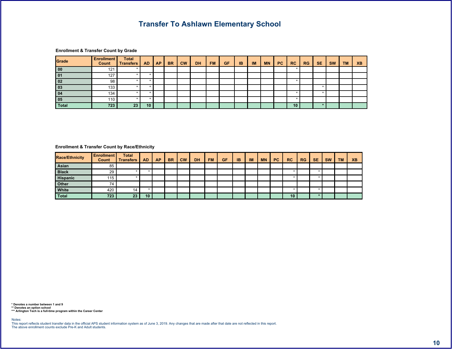$6 \quad$ 

#### **@** " ) 7  $\mathsf{\$}$  $\begin{array}{c} \circ \\ \circ \\ \circ \end{array}$  $|7|$  $\mathfrak{s}$  $\degree$   $<$  $\langle \mathbf{u} \rangle$  $8" | 87|$  $\sim$  $\mathbf{8}$ .  $^{\circ}8$  $% /$ 7 %  $>1$  $\geq$  .  $\prec$  $\overline{1}$  $\overline{?}$ .  $5$  $5$  $5$  $\rightarrow$ - 51  $5$  $5$  $5$  $88$  $5$  $5$  $\overline{5}$  $\overline{2}$  $\overline{83}$  $5$  $\overline{5}$ 5  $5<sup>1</sup>$  $5$  $\overline{5}$  $5$  $\overline{4}$  $5$

#### <span id="page-10-0"></span> $\begin{array}{ccccccccccccccccc}\n\text{\$} & & & \text{\&} & & \text{\&} & & \text{\&} & & \text{\&} & & \text{\&} & & \text{\&} & & \text{\&} & & \text{\&} & & \text{\&} & & \text{\&} & & \text{\&} & & \text{\&} & & \text{\&} & & \text{\&} & & \text{\&} & & \text{\&} & & \text{\&} & & \text{\&} & & \text{\&} & & \text{\&} & & \text{\&} & & \text{\&} & & \text{\&} & & \text{\&} & & \text{\&} & & \text{\&} & & \text{\&} & & \text{\&} & & \text{\&$

| 8 A |  |  | $-8$ | $\epsilon$ | $\blacksquare$ 8 | % / | $7\%$ > > $/$ / |  | <b>Contract Contract</b> | 8" | 87 | $\mathbb{S}^-$ |  |  |
|-----|--|--|------|------------|------------------|-----|-----------------|--|--------------------------|----|----|----------------|--|--|
|     |  |  |      |            |                  |     |                 |  |                          |    |    |                |  |  |
|     |  |  |      |            |                  |     |                 |  |                          |    |    |                |  |  |
|     |  |  |      |            |                  |     |                 |  |                          |    |    |                |  |  |
|     |  |  |      |            |                  |     |                 |  |                          |    |    |                |  |  |
|     |  |  |      |            |                  |     |                 |  |                          |    |    |                |  |  |
|     |  |  |      |            |                  |     |                 |  |                          |    |    |                |  |  |

5 ') ) 6<br>55 ' ' - ! 6 ' ' '<br>555 ! - ! 6 ' '

 $\prec$   $\qquad$   $\#$   $\qquad$ 

% & \$ !  $\qquad \qquad \qquad \qquad$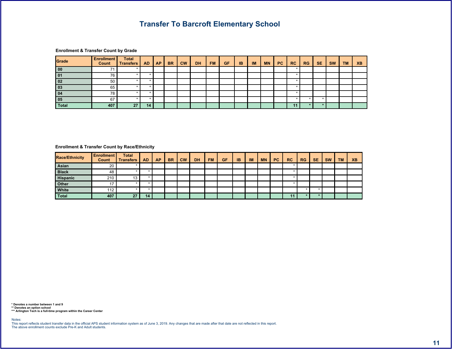$\begin{array}{ccccccccccccccccc}\n\text{\$} & & & & \text{\&} & & & \text{\&} & & & \text{\&} & & \text{\&} & & \text{\&} & & \text{\&} & & \text{\&} & & \text{\&} & & \text{\&} & & \text{\&} & & \text{\&} & & \text{\&} & & \text{\&} & & \text{\&} & & \text{\&} & & \text{\&} & & \text{\&} & & \text{\&} & & \text{\&} & & \text{\&} & & \text{\&} & & \text{\&} & & \text{\&} & & \text{\&} & & \text{\&} & & \text{\&} & & \text{\&} & & \text{\&} & & \$ 

|        |  | 8 <sup>7</sup> | $\mathbf{u}$ | 8 | % / | 7% | $\rightarrow$ . | $\rightarrow$ $\rightarrow$ $\rightarrow$ |  | 8" | & 7 |  |  |
|--------|--|----------------|--------------|---|-----|----|-----------------|-------------------------------------------|--|----|-----|--|--|
|        |  |                |              |   |     |    |                 |                                           |  |    |     |  |  |
|        |  |                |              |   |     |    |                 |                                           |  |    |     |  |  |
|        |  |                |              |   |     |    |                 |                                           |  |    |     |  |  |
|        |  |                |              |   |     |    |                 |                                           |  |    |     |  |  |
|        |  |                |              |   |     |    |                 |                                           |  |    |     |  |  |
| $=$    |  |                |              |   |     |    |                 |                                           |  |    |     |  |  |
| $\sim$ |  |                |              |   |     |    |                 |                                           |  |    |     |  |  |

### <span id="page-11-0"></span> $\begin{array}{ccccccccccccccccc}\n\text{\$} & & & & \text{\&} & & & \text{\&} & & \text{\&} & & \text{\&} & & \text{\&} & \text{\&} & \text{\&} & \text{\&} & \text{\&} & \text{\&} & \text{\&} & \text{\&} & \text{\&} & \text{\&} & \text{\&} & \text{\&} & \text{\&} & \text{\&} & \text{\&} & \text{\&} & \text{\&} & \text{\&} & \text{\&} & \text{\&} & \text{\&} & \text{\&} & \text{\&} & \text{\&} & \text{\&} & \text{\&} & \text{\&} & \text{\&} & \text$

| 8 A |  |  | .8 <sub>1</sub> | $^{\prime}8$ | $\frac{9}{6}$ / | $7\%$ >. | $\vert \rangle$ > / $\vert \vert$ | $\sim$ 10 $\sim$ | 8" | & 7 |  |  |
|-----|--|--|-----------------|--------------|-----------------|----------|-----------------------------------|------------------|----|-----|--|--|
|     |  |  |                 |              |                 |          |                                   |                  |    |     |  |  |
|     |  |  |                 |              |                 |          |                                   |                  |    |     |  |  |
|     |  |  |                 |              |                 |          |                                   |                  |    |     |  |  |
|     |  |  |                 |              |                 |          |                                   |                  |    |     |  |  |
|     |  |  |                 |              |                 |          |                                   |                  |    |     |  |  |
|     |  |  |                 |              |                 |          |                                   |                  |    |     |  |  |

5 ') ) 6<br>55 ' ' - ' | 6<br>555 ! - ' | 6

 $\prec$  (  $\parallel$  #  $\parallel$ 

 $% 85$  !  $\begin{array}{ccccccccccccc} \oslash & & & & & & & \oslash & & & & \oslash & & & & \oslash & & & & \oslash & & & & \oslash & & & & \oslash & & & & \oslash & & & & \oslash & & & & \oslash & & & & \oslash & & & & \oslash & & & & \oslash & & & & \oslash & & & & \oslash & & & & \oslash & & & & \oslash & & & & \oslash & & & & \oslash & & & & \oslash & & & & \oslash & & & & \oslash & & & & \oslash & & & & \oslash & & & & \oslash & & & & \oslash & & & & \oslash & & & & \oslash & & & & \oslash & & & & \oslash &$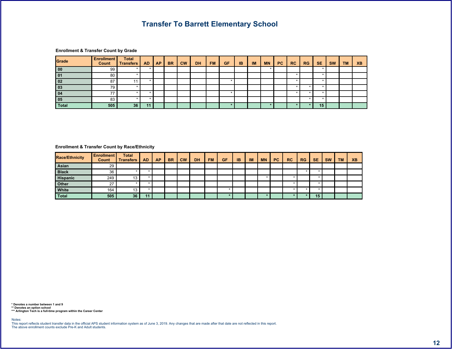$\begin{array}{cccc} \text{\$} & \text{\$} & \text{\$} & \text{\$} & \text{\$} & \text{\$} \end{array}$ 

|        |  | .8 <sub>1</sub> | $\mathbf{H}$ | '8 | $%$ / | 7% | $\rightarrow$ . | >1 | $\mathbf{u}$ | 8" | & 7 |  |  |
|--------|--|-----------------|--------------|----|-------|----|-----------------|----|--------------|----|-----|--|--|
|        |  |                 |              |    |       |    |                 |    |              |    |     |  |  |
|        |  |                 |              |    |       |    |                 |    |              |    |     |  |  |
|        |  |                 |              |    |       |    |                 |    |              |    |     |  |  |
|        |  |                 |              |    |       |    |                 |    |              |    |     |  |  |
|        |  |                 |              |    |       |    |                 |    |              |    |     |  |  |
|        |  |                 |              |    |       |    |                 |    |              |    |     |  |  |
| $\sim$ |  |                 |              |    |       |    |                 |    |              |    | 51  |  |  |

### <span id="page-12-0"></span>\$@ ")&A\$

| 8 A |  |  | 8.8 | $\sqrt{8}$ | % / | 7 % | $\rightarrow$ . | >1 | <b>CHAIR</b> | 8" | & 7 |  |  |
|-----|--|--|-----|------------|-----|-----|-----------------|----|--------------|----|-----|--|--|
|     |  |  |     |            |     |     |                 |    |              |    |     |  |  |
|     |  |  |     |            |     |     |                 |    |              |    |     |  |  |
|     |  |  |     |            |     |     |                 |    |              |    |     |  |  |
|     |  |  |     |            |     |     |                 |    |              |    |     |  |  |
|     |  |  |     |            |     |     |                 |    |              |    |     |  |  |
|     |  |  |     |            |     |     |                 |    |              |    |     |  |  |

and the state of the state of the state of the state of the state of the state of the state of the state of th

5 ') ) 6<br>555 ! - ! 6 " "

 $\lt$  #

 $\qquad \qquad$   $\qquad \qquad$   $\qquad$   $\qquad$   $\qquad$   $\qquad$   $\qquad$   $\qquad$   $\qquad$   $\qquad$   $\qquad$   $\qquad$   $\qquad$   $\qquad$   $\qquad$   $\qquad$   $\qquad$   $\qquad$   $\qquad$   $\qquad$   $\qquad$   $\qquad$   $\qquad$   $\qquad$   $\qquad$   $\qquad$   $\qquad$   $\qquad$   $\qquad$   $\qquad$   $\qquad$   $\qquad$   $\qquad$   $\qquad$   $\qquad$   $\qquad$  %
&\$ !
-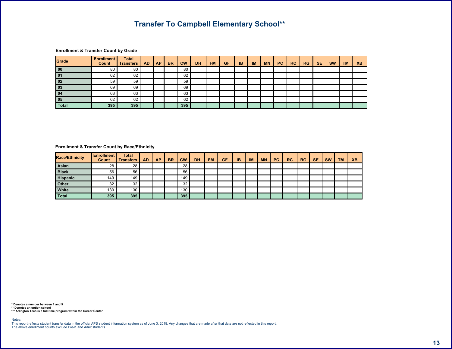**@** " ) 7  $\frac{1}{2}$  $\sqrt{2}$  $\overline{7}$  $\sim 0$  $8" | 87$  $\sim$  $8.$  $" <$  $^{\circ}8$  $% /$ 7 %  $>1$  $\sqrt{2}$  $\geq$  .  $\prec$  $\overline{?}$ .  $=$  $=$  $=$  $\overline{3}$  $\equiv$  $\overline{a}$  $\overline{a}$  $\overline{2}$  $= 8$  $= 8$  $= 8$  $=$  $\equiv$  $\equiv$ उा  $\overline{\phantom{a}}$ 3  $\overline{\phantom{a}}$ 

#### <span id="page-13-0"></span> $\begin{array}{ccccccccccccccccc}\n\text{\$} & & & \text{\&} & & \text{\&} & & \text{\&} & & \text{\&} & & \text{\&} & & \text{\&} & & \text{\&} & & \text{\&} & & \text{\&} & & \text{\&} & & \text{\&} & & \text{\&} & & \text{\&} & & \text{\&} & & \text{\&} & & \text{\&} & & \text{\&} & & \text{\&} & & \text{\&} & & \text{\&} & & \text{\&} & & \text{\&} & & \text{\&} & & \text{\&} & & \text{\&} & & \text{\&} & & \text{\&} & & \text{\&} & & \text{\&$

| 8 A |  |  | $-8$ | " < ' | $-8$ | % / |  |  | <b>COLLECT</b> | 8" | 87 | $\frac{1}{2}$ |  |  |
|-----|--|--|------|-------|------|-----|--|--|----------------|----|----|---------------|--|--|
|     |  |  |      |       |      |     |  |  |                |    |    |               |  |  |
|     |  |  |      |       |      |     |  |  |                |    |    |               |  |  |
|     |  |  |      |       |      |     |  |  |                |    |    |               |  |  |
|     |  |  |      |       |      |     |  |  |                |    |    |               |  |  |
|     |  |  |      |       |      |     |  |  |                |    |    |               |  |  |
|     |  |  |      |       |      |     |  |  |                |    |    |               |  |  |

5 ' ) ) 6<br>55 ' ' - ! 6 ' ' '<br>555 ! - ! 6 ' '

 $\prec$   $\qquad$   $\#$   $\cdot$ 

 $\qquad \qquad \qquad \qquad$ 

 $% 85$  !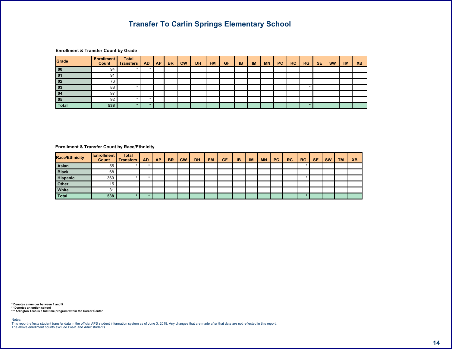|        |  | $-8$ | 8 <sup>1</sup> | $\frac{9}{6}$ /   7 %   >   > / |  |  | 8" | & 7 |  |  |
|--------|--|------|----------------|---------------------------------|--|--|----|-----|--|--|
|        |  |      |                |                                 |  |  |    |     |  |  |
|        |  |      |                |                                 |  |  |    |     |  |  |
|        |  |      |                |                                 |  |  |    |     |  |  |
|        |  |      |                |                                 |  |  |    |     |  |  |
|        |  |      |                |                                 |  |  |    |     |  |  |
|        |  |      |                |                                 |  |  |    |     |  |  |
| $\sim$ |  |      |                |                                 |  |  |    |     |  |  |

<span id="page-14-0"></span> $\begin{array}{ccccccccccccccccc}\n\text{\$} & & & & \text{\&} & & & \text{\&} & & & \text{\&} & & \text{\&} & & \text{\&} & & \text{\&} & & \text{\&} & & \text{\&} & & \text{\&} & & \text{\&} & & \text{\&} & & \text{\&} & & \text{\&} & & \text{\&} & & \text{\&} & & \text{\&} & & \text{\&} & & \text{\&} & & \text{\&} & & \text{\&} & & \text{\&} & & \text{\&} & & \text{\&} & & \text{\&} & & \text{\&} & & \text{\&} & & \text{\&} & & \text{\&} & & \$ 

| 8 A |  |  | 8 <sup>7</sup> | $"$ < $'$ | $^{\prime}8$ | % / | 7% | $\rightarrow$ . | >1 |  | 8" | & 7 | \$ |  |
|-----|--|--|----------------|-----------|--------------|-----|----|-----------------|----|--|----|-----|----|--|
|     |  |  |                |           |              |     |    |                 |    |  |    |     |    |  |
|     |  |  |                |           |              |     |    |                 |    |  |    |     |    |  |
|     |  |  |                |           |              |     |    |                 |    |  |    |     |    |  |
|     |  |  |                |           |              |     |    |                 |    |  |    |     |    |  |
|     |  |  |                |           |              |     |    |                 |    |  |    |     |    |  |
|     |  |  |                |           |              |     |    |                 |    |  |    |     |    |  |

5 ') ) 6<br>55 ' | - | 6 " "<br>555 ! - | 6 " "

 $\prec$   $\parallel$   $\parallel$   $\parallel$ 

 $% 8S$   $|$  $\qquad \qquad \qquad \qquad$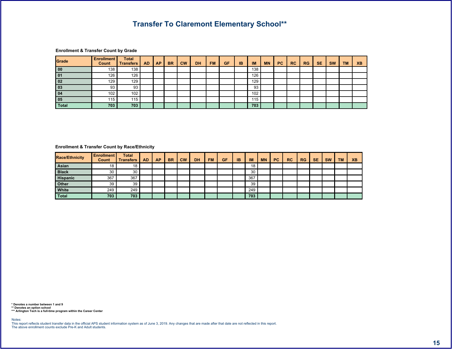$\begin{array}{ccccccccccccccccc}\n\text{\$} & & & & \text{\&} & & & \text{\&} & & & \text{\&} & & \text{\&} & & \text{\&} & & \text{\&} & & \text{\&} & & \text{\&} & & \text{\&} & & \text{\&} & & \text{\&} & & \text{\&} & & \text{\&} & & \text{\&} & & \text{\&} & & \text{\&} & & \text{\&} & & \text{\&} & & \text{\&} & & \text{\&} & & \text{\&} & & \text{\&} & & \text{\&} & & \text{\&} & & \text{\&} & & \text{\&} & & \text{\&} & & \text{\&} & & \$ 

|  |  | 8 <sub>1</sub> | $\mathbf{u}$ | $^{\prime}8$ | % / | 7 % | $>$ . $\sim$ | >1             | $\mathbf{u}$ | 8" | & 7 | \$ |  |
|--|--|----------------|--------------|--------------|-----|-----|--------------|----------------|--------------|----|-----|----|--|
|  |  |                |              |              |     |     |              | ິ<br>∝         |              |    |     |    |  |
|  |  |                |              |              |     |     |              |                |              |    |     |    |  |
|  |  |                |              |              |     |     |              |                |              |    |     |    |  |
|  |  |                |              |              |     |     |              |                |              |    |     |    |  |
|  |  |                |              |              |     |     |              |                |              |    |     |    |  |
|  |  |                |              |              |     |     |              |                |              |    |     |    |  |
|  |  |                |              |              |     |     |              | $\overline{ }$ |              |    |     |    |  |

<span id="page-15-0"></span> $\begin{array}{ccccccccccccccccc}\n\text{\$} & & & & \text{\&} & & & \text{\&} & & \text{\&} & & \text{\&} & & \text{\&} & \text{\&} & \text{\&} & \text{\&} & \text{\&} & \text{\&} & \text{\&} & \text{\&} & \text{\&} & \text{\&} & \text{\&} & \text{\&} & \text{\&} & \text{\&} & \text{\&} & \text{\&} & \text{\&} & \text{\&} & \text{\&} & \text{\&} & \text{\&} & \text{\&} & \text{\&} & \text{\&} & \text{\&} & \text{\&} & \text{\&} & \text{\&} & \text$ 

| $\mathbf{R}$<br>A \$ |         |       |  | 8 <sub>1</sub> | $\sim$ | $\blacksquare$ 8 | % / | 7% | $\rightarrow$ . | >1            | $\mathbf{H}$ | 8" | & 7 | D |  |  |
|----------------------|---------|-------|--|----------------|--------|------------------|-----|----|-----------------|---------------|--------------|----|-----|---|--|--|
|                      |         |       |  |                |        |                  |     |    |                 |               |              |    |     |   |  |  |
|                      |         |       |  |                |        |                  |     |    |                 | $\Omega$<br>∝ |              |    |     |   |  |  |
|                      | $8 = 1$ | $8 =$ |  |                |        |                  |     |    |                 | $8 =$         |              |    |     |   |  |  |
|                      |         |       |  |                |        |                  |     |    |                 | &             |              |    |     |   |  |  |
|                      |         |       |  |                |        |                  |     |    |                 | $\sim$        |              |    |     |   |  |  |
|                      |         |       |  |                |        |                  |     |    |                 |               |              |    |     |   |  |  |

5 ') ) 6<br>55 ' | - | 6 " "<br>555 ! - | 6 " "

 $\prec$  (  $\#$ 

 $% 85$   $|$  $\qquad \qquad \qquad \qquad$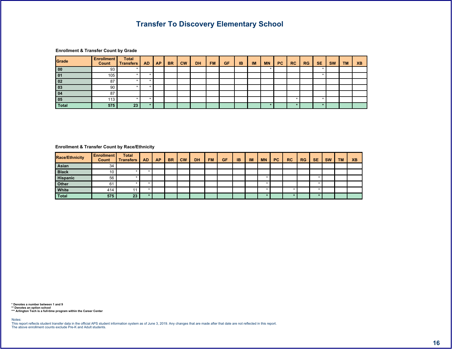$\begin{array}{ccccccccccccccccc}\n\text{\$} & & & & \text{\&} & & & \text{\&} & & & \text{\&} & & \text{\&} & & \text{\&} & & \text{\&} & & \text{\&} & & \text{\&} & & \text{\&} & & \text{\&} & & \text{\&} & & \text{\&} & & \text{\&} & & \text{\&} & & \text{\&} & & \text{\&} & & \text{\&} & & \text{\&} & & \text{\&} & & \text{\&} & & \text{\&} & & \text{\&} & & \text{\&} & & \text{\&} & & \text{\&} & & \text{\&} & & \text{\&} & & \text{\&} & & \$  $\begin{array}{c} \circ \\ \circ \\ \circ \end{array}$  $\overline{7}$  $\alpha$  $\sim 0^{\circ}$  $8" 87$  $8.$  $\degree$   $<$  $^{\prime}8$  $% /$ 7 %  $>1$  $\sqrt{2}$  $\geq$  .  $\prec$  $\overline{1}$  $\overline{?}$ .  $\alpha$  $5$  $\overline{5}$  $5$  $\overline{\mathbf{3}}$  $5$ - 51 -5  $5$  $5$  $>$  $5$  $5$  $\overline{2}$ ⇒∣  $\overline{8}$  $5$  $\overline{5}$  $5$ 5  $34<sup>1</sup>$  $\overline{5}$  $\overline{5}$  $5$  $5$ 

### <span id="page-16-0"></span> $\begin{array}{ccccccccccccccccc}\n\text{\$} & & & & \text{\&} & & & \text{\&} & & & \text{\&} & & \text{\&} & & \text{\&} & & \text{\&} & & \text{\&} & & \text{\&} & & \text{\&} & & \text{\&} & & \text{\&} & & \text{\&} & & \text{\&} & & \text{\&} & & \text{\&} & & \text{\&} & & \text{\&} & & \text{\&} & & \text{\&} & & \text{\&} & & \text{\&} & & \text{\&} & & \text{\&} & & \text{\&} & & \text{\&} & & \text{\&} & & \text{\&} & & \text{\&} & & \$

| 8 A |        |  | .8/ | $\blacksquare$ 8 | $\frac{9}{6}$ | $7\%$ > >   > |  | - - - | 8" | & 7 | $\mathbb{S}$ |  |  |
|-----|--------|--|-----|------------------|---------------|---------------|--|-------|----|-----|--------------|--|--|
|     |        |  |     |                  |               |               |  |       |    |     |              |  |  |
|     |        |  |     |                  |               |               |  |       |    |     |              |  |  |
|     |        |  |     |                  |               |               |  |       |    |     |              |  |  |
|     |        |  |     |                  |               |               |  |       |    |     |              |  |  |
|     |        |  |     |                  |               |               |  |       |    |     |              |  |  |
|     | $\sim$ |  |     |                  |               |               |  |       |    |     |              |  |  |

5 ' ) ) 6<br>55 ' ' - ! 6 ' ' '<br>555 ! - ! 6 ' '

 $\prec$   $\qquad$   $\#$   $\cdots$ 

 $\qquad \qquad \qquad \qquad$ 

 $% 8$ \$ !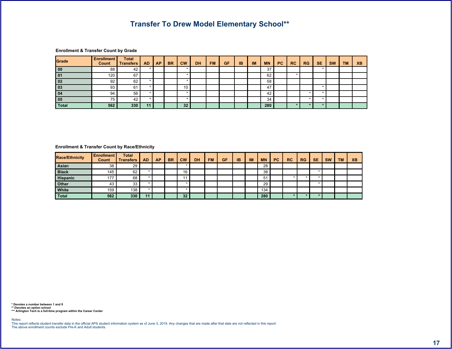$6 /$  \$ 55

 $\begin{array}{ccccccccccccccccc}\n\text{\$} & & & & \text{\&} & & & \text{\&} & & \text{\&} & & \text{\&} & \text{\&} & \text{\&} & \text{\&} & \text{\&} & \text{\&} & \text{\&} & \text{\&} & \text{\&} & \text{\&} & \text{\&} & \text{\&} & \text{\&} & \text{\&} & \text{\&} & \text{\&} & \text{\&} & \text{\&} & \text{\&} & \text{\&} & \text{\&} & \text{\&} & \text{\&} & \text{\&} & \text{\&} & \text{\&} & \text{\&} & \text{\&} & \text{\&} & \text{\$ 

|          |     |  | $\cdot$ 8 | $\mathbf{H}$ | $\mathbf{B}$ | % / | 7% | $>$ . | >1 |   | 8" | & 7 |  |  |
|----------|-----|--|-----------|--------------|--------------|-----|----|-------|----|---|----|-----|--|--|
|          |     |  |           |              |              |     |    |       |    | o |    |     |  |  |
|          | .   |  |           |              |              |     |    |       |    | = |    |     |  |  |
|          | $=$ |  |           |              |              |     |    |       |    | ⌒ |    |     |  |  |
|          | $=$ |  |           |              |              |     |    |       |    |   |    |     |  |  |
|          |     |  |           |              |              |     |    |       |    |   |    |     |  |  |
|          |     |  |           |              |              |     |    |       |    |   |    |     |  |  |
| $\Omega$ |     |  |           |              |              |     |    |       |    |   |    | ᄗ   |  |  |

<span id="page-17-0"></span> $\begin{array}{ccccccccccccccccc}\n\text{\$} & & & \text{\&} & & \text{\&} & & \text{\&} & & \text{\&} & & \text{\&} & & \text{\&} & & \text{\&} & & \text{\&} & & \text{\&} & & \text{\&} & & \text{\&} & & \text{\&} & & \text{\&} & & \text{\&} & & \text{\&} & & \text{\&} & & \text{\&} & & \text{\&} & & \text{\&} & & \text{\&} & & \text{\&} & & \text{\&} & & \text{\&} & & \text{\&} & & \text{\&} & & \text{\&} & & \text{\&} & & \text{\&} & & \text{\&$ 

| 8 A |        |     |  | .8 <sub>1</sub> | $"$ < | $\blacksquare$ 8 | % / | 7% | $\rightarrow$ . | >1 | <b>COLLEGE</b> | 8" | & 7 | $\mathbb{S}$ |  |  |
|-----|--------|-----|--|-----------------|-------|------------------|-----|----|-----------------|----|----------------|----|-----|--------------|--|--|
|     |        |     |  |                 |       |                  |     |    |                 |    |                |    |     |              |  |  |
|     |        | $=$ |  |                 |       |                  |     |    |                 |    |                |    |     |              |  |  |
|     |        | $=$ |  |                 |       |                  |     |    |                 |    |                |    |     |              |  |  |
|     |        |     |  |                 |       |                  |     |    |                 |    |                |    |     |              |  |  |
|     |        |     |  |                 |       |                  |     |    |                 |    |                |    |     |              |  |  |
|     | $\sim$ |     |  |                 |       |                  |     |    |                 |    |                |    |     |              |  |  |

 $<$   $\qquad$   $\#$   $\,$ 

 $% 8S$   $|$  $\qquad \qquad \qquad \qquad$   $\qquad \qquad$   $\qquad \qquad$   $\qquad \qquad$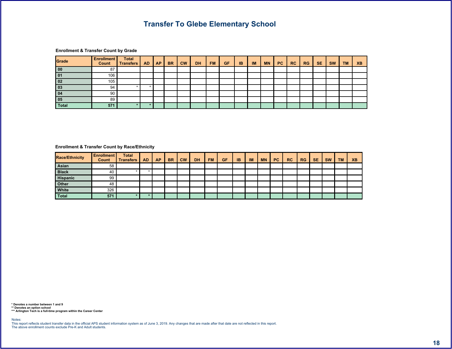$7$  ) \$

| @<br>\$ | $\mathbf{H}$ | $\sqrt{7}$ |    |                |                            |          |     |    |            |    |              |     |     |         |                  |
|---------|--------------|------------|----|----------------|----------------------------|----------|-----|----|------------|----|--------------|-----|-----|---------|------------------|
|         |              |            |    | 8 <sub>1</sub> | $\mathbf{u}$<br>$\tilde{}$ | <b>8</b> | % / | 7% | $>$ . $\,$ | >1 | $\mathbf{u}$ | & " | & 7 | \$<br>≺ | $\overline{?}$ . |
|         |              |            |    |                |                            |          |     |    |            |    |              |     |     |         |                  |
|         | =            |            |    |                |                            |          |     |    |            |    |              |     |     |         |                  |
|         |              |            |    |                |                            |          |     |    |            |    |              |     |     |         |                  |
|         |              |            | 5  |                |                            |          |     |    |            |    |              |     |     |         |                  |
|         |              |            |    |                |                            |          |     |    |            |    |              |     |     |         |                  |
| $\sim$  |              |            |    |                |                            |          |     |    |            |    |              |     |     |         |                  |
|         | 34           | ᇊ          | 51 |                |                            |          |     |    |            |    |              |     |     |         |                  |

<span id="page-18-0"></span> $\begin{array}{ccccccccccccccccc}\n\text{\$} & & & & \text{\&} & & & \text{\&} & & \text{\&} & & \text{\&} & & \text{\&} & \text{\&} & \text{\&} & \text{\&} & \text{\&} & \text{\&} & \text{\&} & \text{\&} & \text{\&} & \text{\&} & \text{\&} & \text{\&} & \text{\&} & \text{\&} & \text{\&} & \text{\&} & \text{\&} & \text{\&} & \text{\&} & \text{\&} & \text{\&} & \text{\&} & \text{\&} & \text{\&} & \text{\&} & \text{\&} & \text{\&} & \text{\&} & \text$ 

| 8 A |         |  | 8 <sup>1</sup> | $\frac{1}{2}$ $\leq$ $\frac{1}{2}$ | $\blacksquare$ 8 | % / | $7\%$ > $>$ $\frac{1}{1}$ |  | <b>CHAIR</b> | 8" | 87 | $\mathsf{s}$ |  |  |
|-----|---------|--|----------------|------------------------------------|------------------|-----|---------------------------|--|--------------|----|----|--------------|--|--|
|     |         |  |                |                                    |                  |     |                           |  |              |    |    |              |  |  |
|     |         |  |                |                                    |                  |     |                           |  |              |    |    |              |  |  |
|     |         |  |                |                                    |                  |     |                           |  |              |    |    |              |  |  |
|     |         |  |                |                                    |                  |     |                           |  |              |    |    |              |  |  |
|     |         |  |                |                                    |                  |     |                           |  |              |    |    |              |  |  |
|     | $\circ$ |  |                |                                    |                  |     |                           |  |              |    |    |              |  |  |

 $\prec$  (  $\parallel$  #  $\parallel$ 

 $% 85$  !  $\circledcirc$  ( )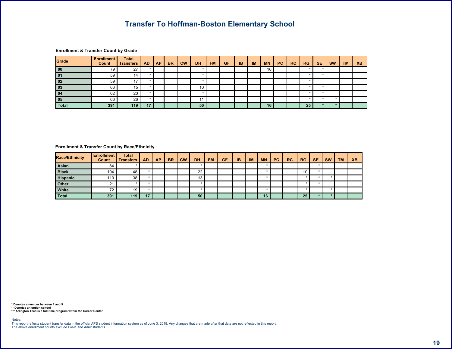|  | \$ | $^\copyright$ | $\overline{z}$ ) 7 |  |
|--|----|---------------|--------------------|--|
|--|----|---------------|--------------------|--|

|  |  | $-8$ | <br>8 <sup>1</sup> | % / | 7% | $>$   >/ | <b>Harry</b> | 8" | 87 |  |  |
|--|--|------|--------------------|-----|----|----------|--------------|----|----|--|--|
|  |  |      |                    |     |    |          |              |    |    |  |  |
|  |  |      |                    |     |    |          |              |    |    |  |  |
|  |  |      |                    |     |    |          |              |    |    |  |  |
|  |  |      |                    |     |    |          |              |    |    |  |  |
|  |  |      |                    |     |    |          |              |    |    |  |  |
|  |  |      |                    |     |    |          |              |    |    |  |  |
|  |  |      |                    |     |    |          |              |    |    |  |  |

### <span id="page-19-0"></span>\$@ ")&A\$

| 8 A |  |  | .8 <sub>1</sub> | $\frac{1}{2}$ $\leq$ $\frac{1}{2}$ | $\blacksquare$ 8 | % / | $7\%$ > $\vert$ > $\vert$ |  | <b>COLLECT</b> | 8" | 87 | $\mathbb{S}^-$ |  |  |
|-----|--|--|-----------------|------------------------------------|------------------|-----|---------------------------|--|----------------|----|----|----------------|--|--|
|     |  |  |                 |                                    |                  |     |                           |  |                |    |    |                |  |  |
|     |  |  |                 |                                    |                  |     |                           |  |                |    |    |                |  |  |
|     |  |  |                 |                                    |                  |     |                           |  |                |    |    |                |  |  |
|     |  |  |                 |                                    |                  |     |                           |  |                |    |    |                |  |  |
|     |  |  |                 |                                    |                  |     |                           |  |                |    |    |                |  |  |
|     |  |  |                 |                                    |                  |     |                           |  |                |    |    |                |  |  |

5 ') ) 6<br>555 ! - ! 6 " "

 $\lt$  #

 $\qquad \qquad$   $\qquad \qquad$   $\qquad$   $\qquad$   $\qquad$   $\qquad$   $\qquad$   $\qquad$   $\qquad$   $\qquad$   $\qquad$   $\qquad$   $\qquad$   $\qquad$   $\qquad$   $\qquad$   $\qquad$   $\qquad$   $\qquad$   $\qquad$   $\qquad$   $\qquad$   $\qquad$   $\qquad$   $\qquad$   $\qquad$   $\qquad$   $\qquad$   $\qquad$   $\qquad$   $\qquad$   $\qquad$   $\qquad$   $\qquad$   $\qquad$   $\qquad$ 

 %
&\$ !
-

and the state of the state of the state of the state of the state of the state of the state of the state of th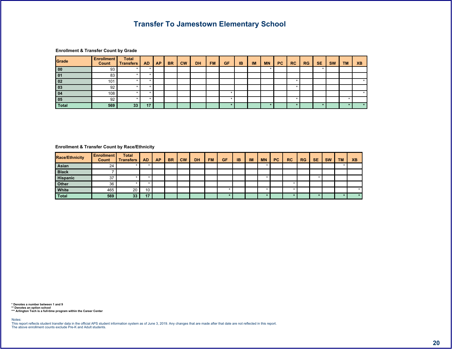6\$

| $^{\circledR}$ | $\mathbf{u}$     | - |    |                |     |       |    |       |    |                |    |     |    |    |   |
|----------------|------------------|---|----|----------------|-----|-------|----|-------|----|----------------|----|-----|----|----|---|
|                |                  |   | .8 | $\overline{a}$ | '8' | $%$ / | 7% | $>$ . | >1 | $\mathbf{H}$ . | 8" | & 7 | \$ |    |   |
|                |                  | 5 |    |                |     |       |    |       |    |                |    |     |    |    |   |
|                |                  |   |    |                |     |       |    |       |    |                |    |     |    |    |   |
|                |                  | 5 |    |                |     |       |    |       |    |                |    |     |    |    |   |
|                |                  | 5 |    |                |     |       |    |       |    |                |    |     |    |    |   |
|                |                  | 5 |    |                |     |       |    |       |    |                |    |     |    |    |   |
|                |                  | b |    |                |     |       |    |       |    |                |    |     |    |    |   |
|                | $\overline{3}$ 1 |   |    |                |     |       | ς  |       |    |                |    |     | Б  | БΙ | 5 |
|                |                  |   |    |                |     |       |    |       |    |                |    |     |    |    |   |

# <span id="page-20-0"></span>\$@ ")&A\$

| 8 A |        |  | .87 | $\epsilon$ | $\blacksquare$ 8 | $\sqrt{96/1}$ | $7\%$ > $>$ $ $ $>$ $ $ $ $ $ $ |  | <b>COLLEGE</b> | 8" | & 7 | \$. |  |  |
|-----|--------|--|-----|------------|------------------|---------------|---------------------------------|--|----------------|----|-----|-----|--|--|
|     |        |  |     |            |                  |               |                                 |  |                |    |     |     |  |  |
|     |        |  |     |            |                  |               |                                 |  |                |    |     |     |  |  |
|     |        |  |     |            |                  |               |                                 |  |                |    |     |     |  |  |
|     |        |  |     |            |                  |               |                                 |  |                |    |     |     |  |  |
|     |        |  |     |            |                  |               |                                 |  |                |    |     |     |  |  |
|     | $\sim$ |  |     |            |                  |               |                                 |  |                |    |     |     |  |  |

5 ') ) 6<br>555 ! - ! 6 " "

 $\lt$  #

 $\qquad \qquad$   $\qquad \qquad$   $\qquad$   $\qquad$   $\qquad$   $\qquad$   $\qquad$   $\qquad$   $\qquad$   $\qquad$   $\qquad$   $\qquad$   $\qquad$   $\qquad$   $\qquad$   $\qquad$   $\qquad$   $\qquad$   $\qquad$   $\qquad$   $\qquad$   $\qquad$   $\qquad$   $\qquad$   $\qquad$   $\qquad$   $\qquad$   $\qquad$   $\qquad$   $\qquad$   $\qquad$   $\qquad$   $\qquad$   $\qquad$   $\qquad$   $\qquad$  %
&\$ !
-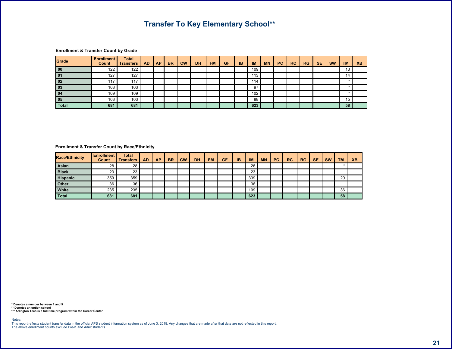

### <span id="page-21-0"></span> $\begin{array}{ccccccc}\n\text{\$} & & \text{\&} & & \text{\&} & & \text{\&} & & \text{\&} & \text{\&} & \text{\&} & \text{\&} & \text{\&} & \text{\&} & \text{\&} & \text{\&} & \text{\&} & \text{\&} & \text{\&} & \text{\&} & \text{\&} & \text{\&} & \text{\&} & \text{\&} & \text{\&} & \text{\&} & \text{\&} & \text{\&} & \text{\&} & \text{\&} & \text{\&} & \text{\&} & \text{\&} & \text{\&} & \text{\&} & \text{\&} & \text{\&} & \text{\&} & \text{\$

| 8 A |                       |     |  | .8 <sub>o</sub> | $^{\prime}8$ | % / | 7% | $\blacktriangleright$ . | >1                   | <b>COLLECT</b> | 8" | & 7 | \$ |        |  |
|-----|-----------------------|-----|--|-----------------|--------------|-----|----|-------------------------|----------------------|----------------|----|-----|----|--------|--|
|     |                       |     |  |                 |              |     |    |                         |                      |                |    |     |    |        |  |
|     |                       |     |  |                 |              |     |    |                         |                      |                |    |     |    |        |  |
|     | $\circ$ $\circ$<br>αs | & 3 |  |                 |              |     |    |                         | & &                  |                |    |     |    |        |  |
|     |                       |     |  |                 |              |     |    |                         | $\Omega$<br>$\alpha$ |                |    |     |    |        |  |
|     |                       |     |  |                 |              |     |    |                         |                      |                |    |     |    |        |  |
|     |                       |     |  |                 |              |     |    |                         |                      |                |    |     |    | $\sim$ |  |

 $\prec$  (  $\#$  )

 $\qquad \qquad \qquad \qquad$ 

 $% 85$   $|$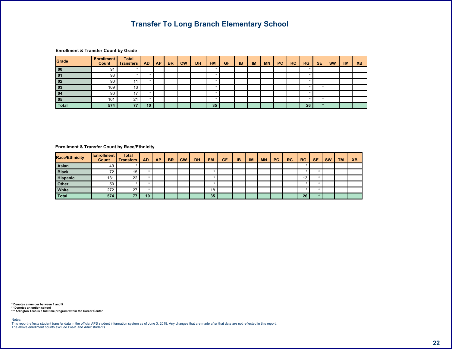9!. \$

 $\text{\$}$   $\text{\textcircled{a}}$  "  $\text{\textcircled{7}}$  7  $\begin{bmatrix} 7 & 1 \end{bmatrix}$   $\begin{bmatrix} 5 & 1 \end{bmatrix}$  $\left| \begin{array}{c|c|c|c|c|c|c|c} \hline \end{array} \right|$  . &  $\left| \begin{array}{c|c|c|c|c} \hline \end{array} \right|$  %/ 7% >.  $\left| \begin{array}{c|c|c|c} \hline \end{array} \right|$  /  $\left| \begin{array}{c|c|c} \hline \end{array} \right|$  &  $\left| \begin{array}{c|c|c} \hline \end{array} \right|$  /  $\left| \begin{array}{c|c} \hline \end{array} \right|$  ?. 2 3 5 5 5 & 5 5 5 5 5 5 5 **8** 1 1 1 5 5 1 1 1 5 5 > 5 5 5 5 5 5 5  $341 44$ 3 1 5

### <span id="page-22-0"></span>\$@ ")&A\$

| &<br>$A$ \$ |        |  | 8 <sub>1</sub> | $\blacksquare$ 8 | % / | $7\%$ > $>$ $ $ |  | $\mathbf{u}$ | 8" | & 7 |  |  |
|-------------|--------|--|----------------|------------------|-----|-----------------|--|--------------|----|-----|--|--|
|             |        |  |                |                  |     |                 |  |              |    |     |  |  |
|             |        |  |                |                  |     |                 |  |              |    |     |  |  |
|             |        |  |                |                  |     |                 |  |              |    |     |  |  |
|             |        |  |                |                  |     |                 |  |              |    |     |  |  |
|             |        |  |                |                  |     |                 |  |              |    |     |  |  |
|             | $\sim$ |  |                |                  |     |                 |  |              |    |     |  |  |

5 ') ) 6<br>555 ! - ! 6 " "

 $\lt$  #

 $\circledcirc$  (  $\circledcirc$  )

 %
&\$ !
-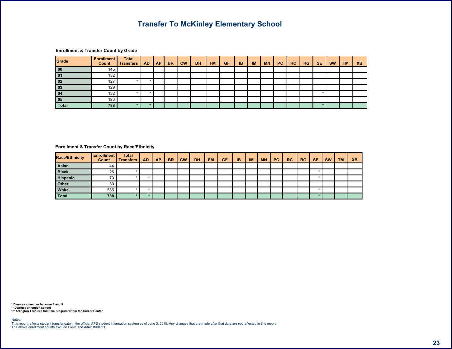$1:$  \$

**@** " ) 7  $\frac{1}{2}$  $\begin{array}{c} 5 \\ 1 \end{array}$  $|7|$  $8 \mid 87$  $\sim 0^{\circ}$  $\sim$  $8.$  $" <$  $^{\circ}8$  $% /$ 7 %  $>1$  $\mathfrak{s}$  $\geq$  .  $\prec$  $\overline{?}$ .  $\overline{?3}$  $\overline{\mathbf{r}}$  $\rightarrow$  $5$  $5$  $\overline{2}$  $\alpha$  $5$ 5 5  $\alpha$  $4,$ ,  $5$  $5$  $5$ 

### <span id="page-23-0"></span> $\begin{array}{ccccccccccccccccc}\n\text{\$} & & & \text{\&} & & \text{\&} & & \text{\&} & & \text{\&} & & \text{\&} & & \text{\&} & & \text{\&} & & \text{\&} & & \text{\&} & & \text{\&} & & \text{\&} & & \text{\&} & & \text{\&} & & \text{\&} & & \text{\&} & & \text{\&} & & \text{\&} & & \text{\&} & & \text{\&} & & \text{\&} & & \text{\&} & & \text{\&} & & \text{\&} & & \text{\&} & & \text{\&} & & \text{\&} & & \text{\&} & & \text{\&} & & \text{\&$

| 8 A |       |  | .87 | $\blacksquare$ 8 | $\frac{9}{6}$ / | $7\%$ > > $/$ / |  | <b>Contract Contract Contract</b> | 8" | 87 | S |  |  |
|-----|-------|--|-----|------------------|-----------------|-----------------|--|-----------------------------------|----|----|---|--|--|
|     |       |  |     |                  |                 |                 |  |                                   |    |    |   |  |  |
|     |       |  |     |                  |                 |                 |  |                                   |    |    |   |  |  |
|     |       |  |     |                  |                 |                 |  |                                   |    |    |   |  |  |
|     |       |  |     |                  |                 |                 |  |                                   |    |    |   |  |  |
|     | $3 =$ |  |     |                  |                 |                 |  |                                   |    |    |   |  |  |
|     |       |  |     |                  |                 |                 |  |                                   |    |    |   |  |  |

 $\prec$   $\qquad$   $\#$ 

 $\qquad \qquad \qquad \qquad$ 

 $% 85$   $|$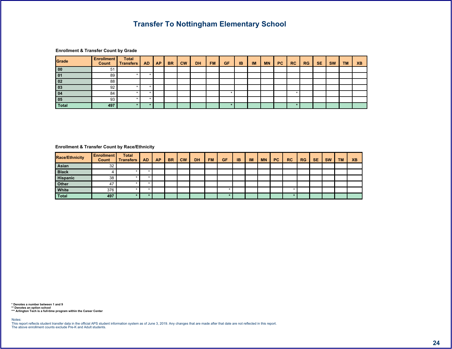$\mathbf{1}$  \$

#### $\begin{array}{ccccccccccccccccc}\n\text{\$} & & & & \text{\&} & & & \text{\&} & & & \text{\&} & & \text{\&} & & \text{\&} & & \text{\&} & & \text{\&} & & \text{\&} & & \text{\&} & & \text{\&} & & \text{\&} & & \text{\&} & & \text{\&} & & \text{\&} & & \text{\&} & & \text{\&} & & \text{\&} & & \text{\&} & & \text{\&} & & \text{\&} & & \text{\&} & & \text{\&} & & \text{\&} & & \text{\&} & & \text{\&} & & \text{\&} & & \text{\&} & & \text{\&} & & \$  $\sqrt{2}$  $|7|$  $8 \mid 87$  $\degree$   $<$  $\sim 0^{\circ}$  $\sim$  $8.$  $^{\circ}8$  $% /$ 7 %  $>1$  $\mathfrak{s}$  $\geq$  .  $\prec$  $\overline{1}$  $\overline{?}$ .  $\overline{\mathbf{3}}$  $5$ -51  $5$  $5$  $\overline{2}$  $\overline{?}$  $5$  $5$  $5$ 5  $\overline{8}$  $\overline{5}$  $\overline{5}$  $24$  $5$  $5$  $5$  $5$

### <span id="page-24-0"></span> $\begin{array}{ccccccccccccccccc}\n\text{\$} & & & \text{\&} & & \text{\&} & & \text{\&} & & \text{\&} & & \text{\&} & & \text{\&} & & \text{\&} & & \text{\&} & & \text{\&} & & \text{\&} & & \text{\&} & & \text{\&} & & \text{\&} & & \text{\&} & & \text{\&} & & \text{\&} & & \text{\&} & & \text{\&} & & \text{\&} & & \text{\&} & & \text{\&} & & \text{\&} & & \text{\&} & & \text{\&} & & \text{\&} & & \text{\&} & & \text{\&} & & \text{\&} & & \text{\&$

| 8 A |        |  | .8 <sub>2</sub> | $\epsilon$ | $\blacksquare$ 8 | % / | $7\%$ > > $\frac{1}{1}$ |  | <b>COLLECT</b> | 8" | & 7 | \$ |  |
|-----|--------|--|-----------------|------------|------------------|-----|-------------------------|--|----------------|----|-----|----|--|
|     |        |  |                 |            |                  |     |                         |  |                |    |     |    |  |
|     |        |  |                 |            |                  |     |                         |  |                |    |     |    |  |
|     |        |  |                 |            |                  |     |                         |  |                |    |     |    |  |
|     |        |  |                 |            |                  |     |                         |  |                |    |     |    |  |
|     |        |  |                 |            |                  |     |                         |  |                |    |     |    |  |
|     | $\sim$ |  |                 |            |                  |     |                         |  |                |    |     |    |  |

5 ' ) ) 6<br>55 ' ' - ! 6 ' ' '<br>555 ! - ! 6 ' '

 $\prec$   $\qquad$   $\#$ 

 $%85$   $|$  $\qquad \qquad \qquad \qquad$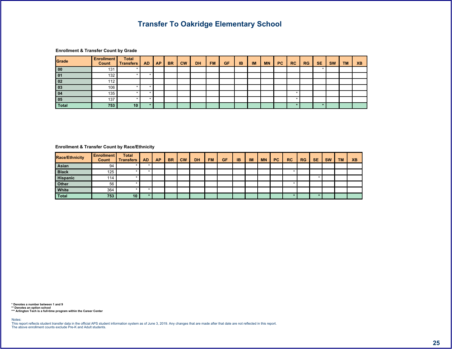$#$ ;  $\vdots$  \$

 $\begin{array}{ccccccccccccccccc}\n\text{\$} & & & & \text{\$} & & & \text{\$} & & & \text{\$} & & \text{\$} & & \text{\$} & & \text{\$} & & \text{\$} & & \text{\$} & & \text{\$} & & \text{\$} & & \text{\$} & & \text{\$} & & \text{\$} & & \text{\$} & & \text{\$} & & \text{\$} & & \text{\$} & & \text{\$} & & \text{\$} & & \text{\$} & & \text{\$} & & \text{\$} & & \text{\$} & & \text{\$} & & \text{\$} & & \text{\$} & & \text{\$} & & \text{\$} & & \$ 

|    |  | .8/ | $^{\prime}8$ | % / | 7% | $\rightarrow$ . | >1 | $\mathbf{u}$ | 8" | & 7 |  |  |
|----|--|-----|--------------|-----|----|-----------------|----|--------------|----|-----|--|--|
|    |  |     |              |     |    |                 |    |              |    |     |  |  |
|    |  |     |              |     |    |                 |    |              |    |     |  |  |
|    |  |     |              |     |    |                 |    |              |    |     |  |  |
|    |  |     |              |     |    |                 |    |              |    |     |  |  |
|    |  |     |              |     |    |                 |    |              |    |     |  |  |
|    |  |     |              |     |    |                 |    |              |    |     |  |  |
| 43 |  |     |              |     |    |                 |    |              |    |     |  |  |

<span id="page-25-0"></span> $\begin{array}{ccccccccccccccccc}\n\text{\$} & & & & \text{\&} & & & \text{\&} & & \text{\&} & & \text{\&} & & \text{\&} & \text{\&} & \text{\&} & \text{\&} & \text{\&} & \text{\&} & \text{\&} & \text{\&} & \text{\&} & \text{\&} & \text{\&} & \text{\&} & \text{\&} & \text{\&} & \text{\&} & \text{\&} & \text{\&} & \text{\&} & \text{\&} & \text{\&} & \text{\&} & \text{\&} & \text{\&} & \text{\&} & \text{\&} & \text{\&} & \text{\&} & \text{\&} & \text$ 

| 8 A |            |  | .8 <sub>2</sub> | $^{\prime}8$ | % / | 7% | $\rightarrow$ . | >1 | $\mathbf{H}$ | 8" | & 7 |  |  |
|-----|------------|--|-----------------|--------------|-----|----|-----------------|----|--------------|----|-----|--|--|
|     |            |  |                 |              |     |    |                 |    |              |    |     |  |  |
|     |            |  |                 |              |     |    |                 |    |              |    |     |  |  |
|     |            |  |                 |              |     |    |                 |    |              |    |     |  |  |
|     |            |  |                 |              |     |    |                 |    |              |    |     |  |  |
|     | ά=         |  |                 |              |     |    |                 |    |              |    |     |  |  |
|     | $\sqrt{2}$ |  |                 |              |     |    |                 |    |              |    |     |  |  |

5 ') ) 6<br>55 ' | - | 6 ' | '<br>555 ! - | 6 ' '

 $<$   $\qquad$   $\#$   $\,$ 

 $% 8S$  !  $\qquad \qquad \qquad \qquad$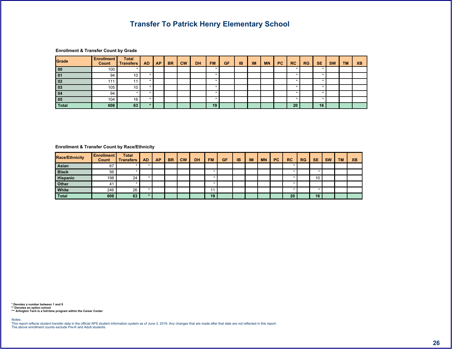$\begin{array}{cc} \text{3} & \text{4} \\ \text{5} & \text{5} \end{array}$ 

 $\sqrt{2}$ 

 $5$ 

-5

 $\overline{5}$ 

 $\prec$ 

 $\overline{1}$ 

 $\overline{?}$ .

 $\begin{array}{ccccccccccccccccc}\n\text{\$} & & & & \text{\&} & & & \text{\&} & & & \text{\&} & & \text{\&} & & \text{\&} & & \text{\&} & & \text{\&} & & \text{\&} & & \text{\&} & & \text{\&} & & \text{\&} & & \text{\&} & & \text{\&} & & \text{\&} & & \text{\&} & & \text{\&} & & \text{\&} & & \text{\&} & & \text{\&} & & \text{\&} & & \text{\&} & & \text{\&} & & \text{\&} & & \text{\&} & & \text{\&} & & \text{\&} & & \text{\&} & & \text{\&} & & \$  $\begin{array}{c} \circ \\ \circ \\ \circ \end{array}$  $|7|$  $\sim 0$  .  $8" | 87$  $\sim$  $8.$  $\degree$   $<$  $18$  $% /$ 7 %  $>1$  $\geq$  .  $5$  $5$  $5$  $\frac{1}{2}$ -5 -51  $5$  $5$  $5$ 

 $\overline{3}$  $5$  $5$  $\overline{5}$  $5<sup>1</sup>$  $\frac{1}{2}$  $5$  $5$ 5  $5<sup>1</sup>$ 5  $\overline{?}$  $\overline{5}$  $5$  $\overline{5}$  $=$ 5  $1,$  $\overline{1}$  $5$  $\vert$  1

| 8 A |  |  | 8 <sub>1</sub> | $\blacksquare$ 8 | % / | 7% | $\vert$ >. $\vert$ >/ $\vert$ / $\vert$ | <b>Contract Contract</b> | 8" | & 7 |  |  |
|-----|--|--|----------------|------------------|-----|----|-----------------------------------------|--------------------------|----|-----|--|--|
|     |  |  |                |                  |     |    |                                         |                          |    |     |  |  |
|     |  |  |                |                  |     |    |                                         |                          |    |     |  |  |
|     |  |  |                |                  |     |    |                                         |                          |    |     |  |  |
|     |  |  |                |                  |     |    |                                         |                          |    |     |  |  |
|     |  |  |                |                  |     |    |                                         |                          |    |     |  |  |
|     |  |  |                |                  |     |    |                                         |                          |    |     |  |  |

 $\overline{2}$ 

<span id="page-26-0"></span>

 $\prec$   $\qquad$   $\#$   $\qquad$ 

 $% 85$   $|$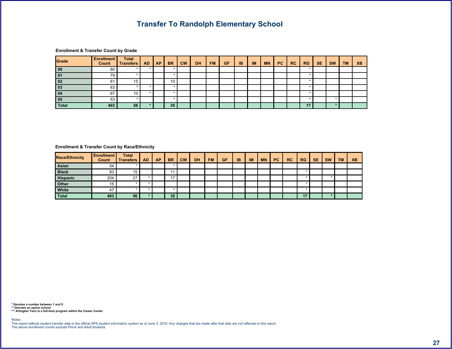& \$

**@** " ) 7  $\frac{1}{2}$  $\sqrt{2}$  $\overline{7}$  $\langle \mathbf{u} \rangle$  $8"$  $87$  $\mathcal{S}$  $\sim$  $8.$  $" <$  $^{\prime}8$  $% /$ 7 %  $>1$  $\geq$  .  $\prec$  $\overline{1}$  $5$ 5 5 .5  $5$  $\vert$  > 5  $5<sup>1</sup>$  $\overline{a}$  $\overline{\phantom{a}3}$  $\overline{5}$  $= 8$  $5$  $5$  $5$  $5$  $\overline{2}$  $=$   $\overline{ }$  $5$ 5 5  $38$  $5$  $\overline{5}$  $\overline{5}$  $5$  $\overline{2}$  $\overline{31}$  $5$  $3$  $\vert$  4  $5<sub>l</sub>$ 

 $\overline{?}$ .

### <span id="page-27-0"></span>

| 8 A |        |  | 8 <sub>1</sub> | 8 <sup>1</sup> | % / | 7% | $\vert \cdot \vert \cdot \vert \cdot \vert$ | <b>Contract Contract</b> | 8" | & 7 |  |  |
|-----|--------|--|----------------|----------------|-----|----|---------------------------------------------|--------------------------|----|-----|--|--|
|     |        |  |                |                |     |    |                                             |                          |    |     |  |  |
|     |        |  |                |                |     |    |                                             |                          |    |     |  |  |
|     |        |  |                |                |     |    |                                             |                          |    |     |  |  |
|     |        |  |                |                |     |    |                                             |                          |    |     |  |  |
|     |        |  |                |                |     |    |                                             |                          |    |     |  |  |
|     | $\sim$ |  |                |                |     |    |                                             |                          |    |     |  |  |

5 ') ) 6<br>55 ' ' - ! 6 ' ' '<br>555 ! - ! 6 ' '

 $\prec$   $\qquad$   $\#$   $\qquad$ 

% & \$ !  $\qquad \qquad \qquad \qquad$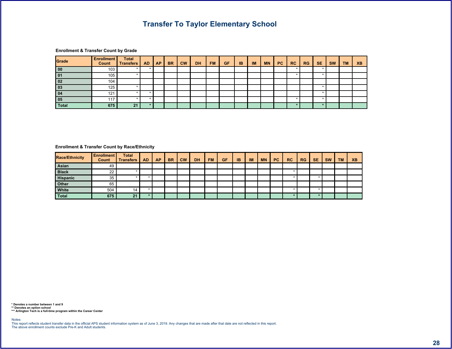| \$<br>$^{\copyright}$ | $\mathbf{u}$ | $\rightarrow$ 7 |  |
|-----------------------|--------------|-----------------|--|
|                       |              |                 |  |

|  |  | . & | '8 | % / | $7\%$ >. | >1 |  | 8" | & 7 | \$ |  |
|--|--|-----|----|-----|----------|----|--|----|-----|----|--|
|  |  |     |    |     |          |    |  |    |     |    |  |
|  |  |     |    |     |          |    |  |    |     |    |  |
|  |  |     |    |     |          |    |  |    |     |    |  |
|  |  |     |    |     |          |    |  |    |     |    |  |
|  |  |     |    |     |          |    |  |    |     |    |  |
|  |  |     |    |     |          |    |  |    |     |    |  |
|  |  |     |    |     |          |    |  |    |     |    |  |

### <span id="page-28-0"></span> $\begin{array}{ccccccccccccccccc}\n\text{\$} & & & & \text{\&} & & & \text{\&} & & \text{\&} & & \text{\&} & & \text{\&} & \text{\&} & \text{\&} & \text{\&} & \text{\&} & \text{\&} & \text{\&} & \text{\&} & \text{\&} & \text{\&} & \text{\&} & \text{\&} & \text{\&} & \text{\&} & \text{\&} & \text{\&} & \text{\&} & \text{\&} & \text{\&} & \text{\&} & \text{\&} & \text{\&} & \text{\&} & \text{\&} & \text{\&} & \text{\&} & \text{\&} & \text{\&} & \text$

| 8 A |  |  | .8 <sup>7</sup> | $\blacksquare$ | % / | $7\%$ > $\vert$ > $\vert$ |  | <b>COLLECT</b> | 8 <sup>1</sup> | & 7 | \$. |  |  |
|-----|--|--|-----------------|----------------|-----|---------------------------|--|----------------|----------------|-----|-----|--|--|
|     |  |  |                 |                |     |                           |  |                |                |     |     |  |  |
|     |  |  |                 |                |     |                           |  |                |                |     |     |  |  |
|     |  |  |                 |                |     |                           |  |                |                |     |     |  |  |
|     |  |  |                 |                |     |                           |  |                |                |     |     |  |  |
|     |  |  |                 |                |     |                           |  |                |                |     |     |  |  |
|     |  |  |                 |                |     |                           |  |                |                |     |     |  |  |

5 ' ) ) 6<br>55 ' ' - ! 6 ' ' '<br>555 ! - ! 6 ' '

 $\prec$  (  $\parallel$  #  $\parallel$ 

 $% 85$   $|$  $\circledcirc$  (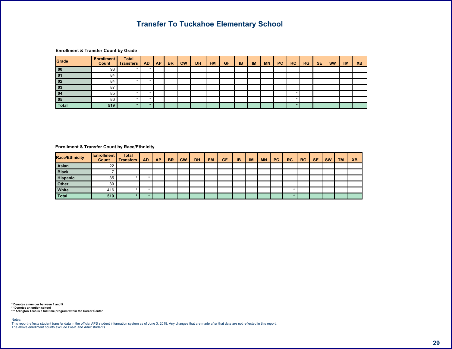|        |  | $-8$ | $\mathbf{H}$ | '8 | % / | 7% | $\rightarrow$ . | >1 | $\mathbf{H}$ | & " | & 7 |  |  |
|--------|--|------|--------------|----|-----|----|-----------------|----|--------------|-----|-----|--|--|
|        |  |      |              |    |     |    |                 |    |              |     |     |  |  |
|        |  |      |              |    |     |    |                 |    |              |     |     |  |  |
|        |  |      |              |    |     |    |                 |    |              |     |     |  |  |
|        |  |      |              |    |     |    |                 |    |              |     |     |  |  |
|        |  |      |              |    |     |    |                 |    |              |     |     |  |  |
|        |  |      |              |    |     |    |                 |    |              |     |     |  |  |
| $\sim$ |  |      |              |    |     |    |                 |    |              |     |     |  |  |

### <span id="page-29-0"></span> $\begin{array}{ccccccccccccccccc}\n\text{\$} & & & & \text{\&} & & & \text{\&} & & \text{\&} & & \text{\&} & & \text{\&} & \text{\&} & \text{\&} & \text{\&} & \text{\&} & \text{\&} & \text{\&} & \text{\&} & \text{\&} & \text{\&} & \text{\&} & \text{\&} & \text{\&} & \text{\&} & \text{\&} & \text{\&} & \text{\&} & \text{\&} & \text{\&} & \text{\&} & \text{\&} & \text{\&} & \text{\&} & \text{\&} & \text{\&} & \text{\&} & \text{\&} & \text{\&} & \text$

| 8 A |  |  | .8 <sub>1</sub> | $"$ < $'$ | $\blacksquare$ 8 | % / | $7\%$ > $>$ $\frac{1}{2}$ |  | $-100$ | $-8"$ | & 7 | $\mathbb{S}$ |  |  |
|-----|--|--|-----------------|-----------|------------------|-----|---------------------------|--|--------|-------|-----|--------------|--|--|
|     |  |  |                 |           |                  |     |                           |  |        |       |     |              |  |  |
|     |  |  |                 |           |                  |     |                           |  |        |       |     |              |  |  |
|     |  |  |                 |           |                  |     |                           |  |        |       |     |              |  |  |
|     |  |  |                 |           |                  |     |                           |  |        |       |     |              |  |  |
|     |  |  |                 |           |                  |     |                           |  |        |       |     |              |  |  |
|     |  |  |                 |           |                  |     |                           |  |        |       |     |              |  |  |

5 ') ) 6<br>55 ' | - | 6 " "<br>555 ! - | 6 " "

 $\prec$  (  $\parallel$  #  $\parallel$ 

 $% 85$   $|$  $\qquad \qquad \qquad \qquad$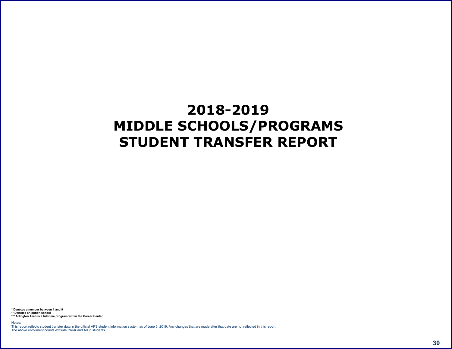<span id="page-30-0"></span> $'0$  -  $/$  + -  $)$  1

 $55'$  ) ) 6<br>555 ! - ! 6 " "<br>< #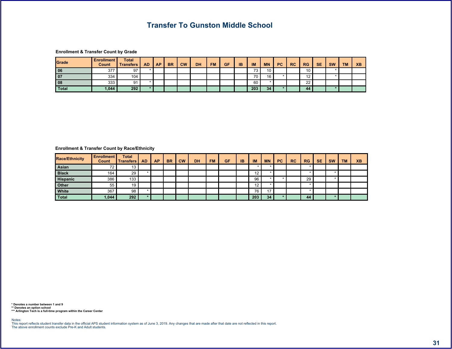$\overline{7}$  /

 $\begin{array}{ccccccccccccccccc}\n\text{\textbf{S}} & & & & \text{\textbf{0}} & & & & \textbf{0} & & & \textbf{0} & & \textbf{0}\n\end{array}$ 

|  |  | $-\alpha$ | $^{\prime}$ 8 | $%$ / | $\sqrt{7\%}$ >. |  | $-1$ >/ $1-$ | $\sim$ 11 | 8" | & 7 | $\triangle$ |  |  |
|--|--|-----------|---------------|-------|-----------------|--|--------------|-----------|----|-----|-------------|--|--|
|  |  |           |               |       |                 |  |              |           |    |     |             |  |  |
|  |  |           |               |       |                 |  |              |           |    |     |             |  |  |
|  |  |           |               |       |                 |  |              |           |    |     |             |  |  |
|  |  |           |               |       |                 |  |              |           |    |     |             |  |  |

<span id="page-31-0"></span> $\begin{array}{ccccccccccccccccc}\n\text{\$} & & & & \text{\&} & & & \text{\&} & & \text{\&} & & \text{\&} & & \text{\&} & \text{\&} & \text{\&} & \text{\&} & \text{\&} & \text{\&} & \text{\&} & \text{\&} & \text{\&} & \text{\&} & \text{\&} & \text{\&} & \text{\&} & \text{\&} & \text{\&} & \text{\&} & \text{\&} & \text{\&} & \text{\&} & \text{\&} & \text{\&} & \text{\&} & \text{\&} & \text{\&} & \text{\&} & \text{\&} & \text{\&} & \text{\&} & \text$ 

| 8 A |            |  | 8 <sub>1</sub> | 8 | $\frac{9}{6}$ / | $7\%$ > > $ $ > $ $ |  | <b>Contract Contract</b> | 8" | & 7 | \$ |  |
|-----|------------|--|----------------|---|-----------------|---------------------|--|--------------------------|----|-----|----|--|
|     |            |  |                |   |                 |                     |  |                          |    |     |    |  |
|     |            |  |                |   |                 |                     |  |                          |    |     |    |  |
|     |            |  |                |   |                 |                     |  |                          |    |     |    |  |
|     |            |  |                |   |                 |                     |  |                          |    |     |    |  |
|     | $\alpha =$ |  |                |   |                 |                     |  |                          |    |     |    |  |
|     |            |  |                |   |                 |                     |  |                          |    |     |    |  |

 $\prec$   $\qquad$   $\#$ 

 $% 85$  !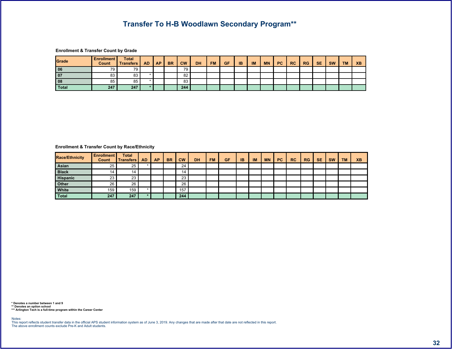$\begin{array}{ccccccccccccccccc}\n\text{\$} & & & & \text{\&} & & & \text{\&} & & & \text{\&} & & \text{\&} & & \text{\&} & & \text{\&} & & \text{\&} & & \text{\&} & & \text{\&} & & \text{\&} & & \text{\&} & & \text{\&} & & \text{\&} & & \text{\&} & & \text{\&} & & \text{\&} & & \text{\&} & & \text{\&} & & \text{\&} & & \text{\&} & & \text{\&} & & \text{\&} & & \text{\&} & & \text{\&} & & \text{\&} & & \text{\&} & & \text{\&} & & \text{\&} & & \$ 

|  |  | $-8$ | $^{\prime}$ R | % / |  | $7\%$ > $\vert$ > $\vert$ | $\sim$ 10 | & " | $\alpha$ | $\bullet$ |  |  |
|--|--|------|---------------|-----|--|---------------------------|-----------|-----|----------|-----------|--|--|
|  |  |      |               |     |  |                           |           |     |          |           |  |  |
|  |  |      |               |     |  |                           |           |     |          |           |  |  |
|  |  |      |               |     |  |                           |           |     |          |           |  |  |
|  |  |      |               |     |  |                           |           |     |          |           |  |  |

<span id="page-32-0"></span> $\begin{array}{ccccccccccccccccc}\n\text{\$} & & & \text{\&} & & \text{\&} & & \text{\&} & & \text{\&} & & \text{\&} & & \text{\&} & & \text{\&} & & \text{\&} & & \text{\&} & & \text{\&} & & \text{\&} & & \text{\&} & & \text{\&} & & \text{\&} & & \text{\&} & & \text{\&} & & \text{\&} & & \text{\&} & & \text{\&} & & \text{\&} & & \text{\&} & & \text{\&} & & \text{\&} & & \text{\&} & & \text{\&} & & \text{\&} & & \text{\&} & & \text{\&} & & \text{\&$ 

| 8 A |  |  | .8 <sub>1</sub> | $-8$ | $\frac{9}{6}$ / | $7\%$ > > $ $ > $ $ |  |  | $-8"$ | & 7 |  |  |
|-----|--|--|-----------------|------|-----------------|---------------------|--|--|-------|-----|--|--|
|     |  |  |                 |      |                 |                     |  |  |       |     |  |  |
|     |  |  |                 |      |                 |                     |  |  |       |     |  |  |
|     |  |  |                 |      |                 |                     |  |  |       |     |  |  |
|     |  |  |                 |      |                 |                     |  |  |       |     |  |  |
|     |  |  |                 |      |                 |                     |  |  |       |     |  |  |
|     |  |  |                 |      |                 |                     |  |  |       |     |  |  |

 $\left\langle \cdot \right\rangle =\frac{1}{2}$ 

 $% 8S$  !  $\qquad \qquad \qquad \qquad$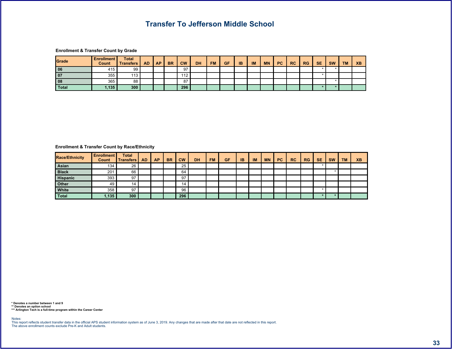# 

|  |  | 8 <sub>1</sub> | $\mathcal{L}^{\text{max}}$ | 18 | $\left  \frac{\%}{\ } \right $ 7% > $\left  \right $ > $\left  \right $ |  | . | _& " | 87 | $\triangle$ |  |  |
|--|--|----------------|----------------------------|----|-------------------------------------------------------------------------|--|---|------|----|-------------|--|--|
|  |  |                |                            |    |                                                                         |  |   |      |    |             |  |  |
|  |  |                |                            |    |                                                                         |  |   |      |    |             |  |  |
|  |  |                |                            |    |                                                                         |  |   |      |    |             |  |  |
|  |  |                |                            |    |                                                                         |  |   |      |    |             |  |  |

### <span id="page-33-0"></span> $\begin{array}{ccccccccccccccccc}\n\text{\$} & & & & \text{\&} & & & \text{\&} & & \text{\&} & & \text{\&} & & \text{\&} & \text{\&} & \text{\&} & \text{\&} & \text{\&} & \text{\&} & \text{\&} & \text{\&} & \text{\&} & \text{\&} & \text{\&} & \text{\&} & \text{\&} & \text{\&} & \text{\&} & \text{\&} & \text{\&} & \text{\&} & \text{\&} & \text{\&} & \text{\&} & \text{\&} & \text{\&} & \text{\&} & \text{\&} & \text{\&} & \text{\&} & \text{\&} & \text$

| 8 A |            |  | .8 <sub>1</sub> | $-8$ | $%$ / | $7\%$ > > $ $ > $ $ |  | <b>Contract</b> | 8" | 87 | $\mathsf{s}$ | $\sim$ |  |
|-----|------------|--|-----------------|------|-------|---------------------|--|-----------------|----|----|--------------|--------|--|
|     |            |  |                 |      |       |                     |  |                 |    |    |              |        |  |
|     |            |  |                 |      |       |                     |  |                 |    |    |              |        |  |
|     |            |  |                 |      |       |                     |  |                 |    |    |              |        |  |
|     |            |  |                 |      |       |                     |  |                 |    |    |              |        |  |
|     | $^{\circ}$ |  |                 |      |       |                     |  |                 |    |    |              |        |  |
|     |            |  |                 |      |       |                     |  |                 |    |    |              |        |  |

 $\prec$  (  $\#$  )

 $% 85$  !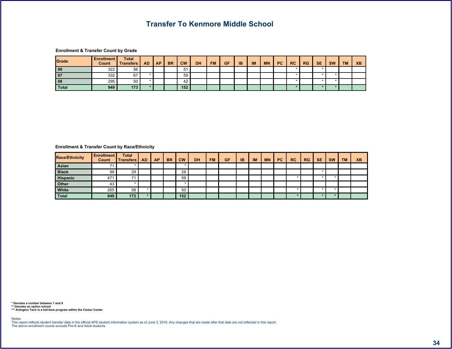# $\begin{array}{ccccccccccccccccc}\n\text{\$} & & & & \text{\&} & & & \text{\&} & & & \text{\&} & & \text{\&} & & \text{\&} & & \text{\&} & & \text{\&} & & \text{\&} & & \text{\&} & & \text{\&} & & \text{\&} & & \text{\&} & & \text{\&} & & \text{\&} & & \text{\&} & & \text{\&} & & \text{\&} & & \text{\&} & & \text{\&} & & \text{\&} & & \text{\&} & & \text{\&} & & \text{\&} & & \text{\&} & & \text{\&} & & \text{\&} & & \text{\&} & & \text{\&} & & \$

|        |  | 8 <sup>7</sup> |   | 8 | $\frac{96}{1}$ 7% >. |  |  | _& " | 87 | $\triangle$ |  |  |
|--------|--|----------------|---|---|----------------------|--|--|------|----|-------------|--|--|
|        |  |                |   |   |                      |  |  |      |    |             |  |  |
| $\sim$ |  |                | ∽ |   |                      |  |  |      |    |             |  |  |
|        |  |                |   |   |                      |  |  |      |    |             |  |  |
|        |  |                |   |   |                      |  |  |      |    |             |  |  |

### <span id="page-34-0"></span> $\begin{array}{ccccccccccccccccc}\n\text{\$} & & & & \text{\&} & & & \text{\&} & & \text{\&} & & \text{\&} & & \text{\&} & \text{\&} & \text{\&} & \text{\&} & \text{\&} & \text{\&} & \text{\&} & \text{\&} & \text{\&} & \text{\&} & \text{\&} & \text{\&} & \text{\&} & \text{\&} & \text{\&} & \text{\&} & \text{\&} & \text{\&} & \text{\&} & \text{\&} & \text{\&} & \text{\&} & \text{\&} & \text{\&} & \text{\&} & \text{\&} & \text{\&} & \text{\&} & \text$

| 8 A |  |  | .8 <sub>1</sub> | $\blacksquare$ 8 | $\frac{9}{6}$ / | $7\%$ > $>$ / / |  |  | $-8"$ | & 7 |  |  |
|-----|--|--|-----------------|------------------|-----------------|-----------------|--|--|-------|-----|--|--|
|     |  |  |                 |                  |                 |                 |  |  |       |     |  |  |
|     |  |  |                 |                  |                 |                 |  |  |       |     |  |  |
|     |  |  |                 |                  |                 |                 |  |  |       |     |  |  |
|     |  |  |                 |                  |                 |                 |  |  |       |     |  |  |
|     |  |  |                 |                  |                 |                 |  |  |       |     |  |  |
|     |  |  |                 |                  |                 |                 |  |  |       |     |  |  |

 $\epsilon$  =  $\#$  =  $\pm$ 

 $% 8$ \$ !  $\circledcirc$  (  $\circledcirc$  )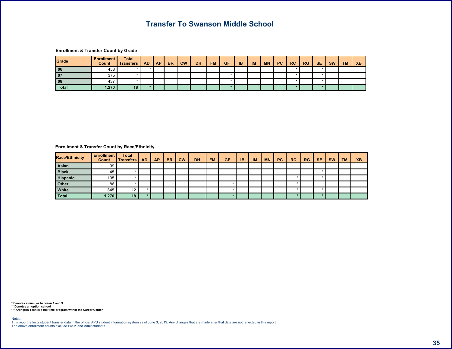$\begin{matrix} 6 & 7 \end{matrix}$ 

 $\begin{array}{ccccccccccccccccc}\n\text{\$} & & & & \text{\$} & & & \text{\$} & & & \text{\$} & & \text{\$} & & \text{\$} & & \text{\$} & & \text{\$} & & \text{\$} & & \text{\$} & & \text{\$} & & \text{\$} & & \text{\$} & & \text{\$} & & \text{\$} & & \text{\$} & & \text{\$} & & \text{\$} & & \text{\$} & & \text{\$} & & \text{\$} & & \text{\$} & & \text{\$} & & \text{\$} & & \text{\$} & & \text{\$} & & \text{\$} & & \text{\$} & & \text{\$} & & \$ 

|               |  | .8 <sub>1</sub> | $^{\prime}$ 8 | $\left  \frac{9}{6}$ /   7 %   >   >     / |  | . | - & " | & 7 | $\bullet$ |  |  |
|---------------|--|-----------------|---------------|--------------------------------------------|--|---|-------|-----|-----------|--|--|
| $\sim$ $\sim$ |  |                 |               |                                            |  |   |       |     |           |  |  |
|               |  |                 |               |                                            |  |   |       |     |           |  |  |
|               |  |                 |               |                                            |  |   |       |     |           |  |  |
|               |  |                 |               |                                            |  |   |       |     |           |  |  |

<span id="page-35-0"></span> $\begin{array}{ccccccccccccccccc}\n\text{\$} & & & & \text{\&} & & & \text{\&} & & \text{\&} & & \text{\&} & & \text{\&} & \text{\&} & \text{\&} & \text{\&} & \text{\&} & \text{\&} & \text{\&} & \text{\&} & \text{\&} & \text{\&} & \text{\&} & \text{\&} & \text{\&} & \text{\&} & \text{\&} & \text{\&} & \text{\&} & \text{\&} & \text{\&} & \text{\&} & \text{\&} & \text{\&} & \text{\&} & \text{\&} & \text{\&} & \text{\&} & \text{\&} & \text{\&} & \text$ 

| 8 A |  |  | .8 <sub>1</sub> | '8' | % / | $7\%$ > > $ $ > $ $ |  | <b>Contract Contract</b> | 8" | & 7 | \$ |  |
|-----|--|--|-----------------|-----|-----|---------------------|--|--------------------------|----|-----|----|--|
|     |  |  |                 |     |     |                     |  |                          |    |     |    |  |
|     |  |  |                 |     |     |                     |  |                          |    |     |    |  |
|     |  |  |                 |     |     |                     |  |                          |    |     |    |  |
|     |  |  |                 |     |     |                     |  |                          |    |     |    |  |
|     |  |  |                 |     |     |                     |  |                          |    |     |    |  |
|     |  |  |                 |     |     |                     |  |                          |    |     |    |  |

 $\left\langle \cdot \right\rangle =\frac{1}{2}$ 

 $% 85$  !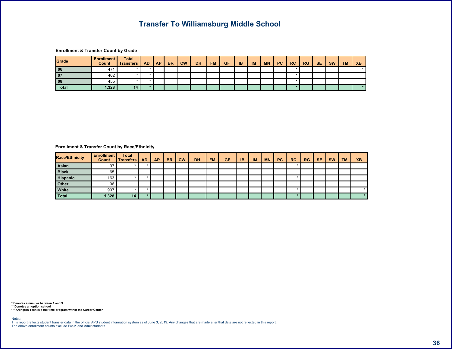$\leftarrow$   $\leftarrow$   $\leftarrow$   $\leftarrow$   $\leftarrow$   $\leftarrow$   $\leftarrow$ 

 $\begin{array}{ccccccccccccccccc}\n\text{\$} & & & & \text{\$} & & & & \text{\$} & & & \text{\$} & & \text{\$} & & \text{\$} & & \text{\$} & & \text{\$} & & \text{\$} & & \text{\$} & & \text{\$} & & \text{\$} & & \text{\$} & & \text{\$} & & \text{\$} & & \text{\$} & & \text{\$} & & \text{\$} & & \text{\$} & & \text{\$} & & \text{\$} & & \text{\$} & & \text{\$} & & \text{\$} & & \text{\$} & & \text{\$} & & \text{\$} & & \text{\$} & & \text{\$} & &$ 

|  |  | .8 <sub>2</sub> | $^{\prime}$ 8 | % / | $\vert$ 7% > $\vert$ > $\vert$ 1 |  |  | 8" | & 7 | $\triangle$ |  |  |
|--|--|-----------------|---------------|-----|----------------------------------|--|--|----|-----|-------------|--|--|
|  |  |                 |               |     |                                  |  |  |    |     |             |  |  |
|  |  |                 |               |     |                                  |  |  |    |     |             |  |  |
|  |  |                 |               |     |                                  |  |  |    |     |             |  |  |
|  |  |                 |               |     |                                  |  |  |    |     |             |  |  |

<span id="page-36-0"></span> $\begin{array}{ccccccccccccccccc}\n\text{\$} & & & & \text{\&} & & & \text{\&} & & \text{\&} & & \text{\&} & & \text{\&} & \text{\&} & \text{\&} & \text{\&} & \text{\&} & \text{\&} & \text{\&} & \text{\&} & \text{\&} & \text{\&} & \text{\&} & \text{\&} & \text{\&} & \text{\&} & \text{\&} & \text{\&} & \text{\&} & \text{\&} & \text{\&} & \text{\&} & \text{\&} & \text{\&} & \text{\&} & \text{\&} & \text{\&} & \text{\&} & \text{\&} & \text{\&} & \text$ 

| 8 A |  |  | .8 <sub>1</sub> | $^{\prime}8$ | $\frac{9}{6}$ / | 7% > $\vert$ > $\vert$ / $\vert$ " |  |  | 8" | & 7 |  |  |
|-----|--|--|-----------------|--------------|-----------------|------------------------------------|--|--|----|-----|--|--|
|     |  |  |                 |              |                 |                                    |  |  |    |     |  |  |
|     |  |  |                 |              |                 |                                    |  |  |    |     |  |  |
|     |  |  |                 |              |                 |                                    |  |  |    |     |  |  |
|     |  |  |                 |              |                 |                                    |  |  |    |     |  |  |
|     |  |  |                 |              |                 |                                    |  |  |    |     |  |  |
|     |  |  |                 |              |                 |                                    |  |  |    |     |  |  |

 $\left| \cdot \right|$  =  $\left| \cdot \right|$ 

 $% 85$  !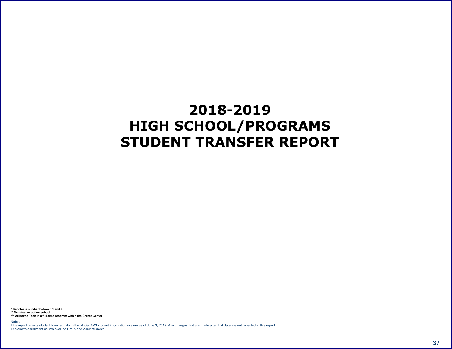<span id="page-37-0"></span> $* 0 1 *$   $*$  -) 1

 $55'$  ) ) 6<br>55 ! - 1 6 " "  $\prec$   $\qquad$  #  $\begin{array}{ccccccccccccc} \oslash & & & & & & & \oslash & & & & \oslash & & & & \oslash & & & & \oslash & & & & \oslash & & & & \oslash & & & & \oslash & & & & \oslash & & & & \oslash & & & & \oslash & & & & \oslash & & & & \oslash & & & & \oslash & & & & \oslash & & & & \oslash & & & & \oslash & & & & \oslash & & & & \oslash & & & & \oslash & & & & \oslash & & & & \oslash & & & & \oslash & & & & \oslash & & & & \oslash & & & & \oslash & & & & \oslash & & & & \oslash & & & & \oslash & & & & \oslash &$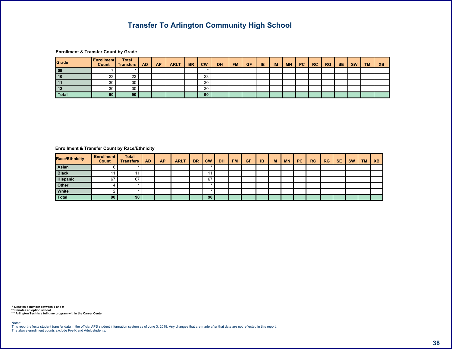$\begin{array}{ccccccc}\n\text{\$} & & & \text{\&} & & \text{\&} & & \text{\&} & & \text{\&} & \text{\&} & \text{\&} & \text{\&} & \text{\&} & \text{\&} & \text{\&} & \text{\&} & \text{\&} & \text{\&} & \text{\&} & \text{\&} & \text{\&} & \text{\&} & \text{\&} & \text{\&} & \text{\&} & \text{\&} & \text{\&} & \text{\&} & \text{\&} & \text{\&} & \text{\&} & \text{\&} & \text{\&} & \text{\&} & \text{\&} & \text{\&} & \text{\&} & \text{\&} & \text$ 

|  |  | & 9 | 8 <sub>1</sub> | $\overline{\phantom{a}}$ $\overline{\phantom{a}}$ $\overline{\phantom{a}}$ $\overline{\phantom{a}}$ | $\sqrt{\frac{96}{}}$ 7% > $>$ $\sqrt{\frac{1}{1}}$ |  |  | 8" | 87 | $\mathbf{C}$ |  |  |
|--|--|-----|----------------|-----------------------------------------------------------------------------------------------------|----------------------------------------------------|--|--|----|----|--------------|--|--|
|  |  |     |                |                                                                                                     |                                                    |  |  |    |    |              |  |  |
|  |  |     |                |                                                                                                     |                                                    |  |  |    |    |              |  |  |
|  |  |     |                |                                                                                                     |                                                    |  |  |    |    |              |  |  |
|  |  |     |                |                                                                                                     |                                                    |  |  |    |    |              |  |  |
|  |  |     |                |                                                                                                     |                                                    |  |  |    |    |              |  |  |

<span id="page-38-0"></span> $\sqrt[3]{5}$  (a)  $\sqrt[3]{1}$  (b) & A  $\sqrt[3]{5}$ 

| 8 A |                   |       |  | 89 | $-8$ | 8 <sup>1</sup> | $\frac{9}{6}$ / | $7\%$ > $\vert$ > $\vert$ |  | <b>Similar</b> | 8" | & 7 | $\mathbf{s}$ |  |  |
|-----|-------------------|-------|--|----|------|----------------|-----------------|---------------------------|--|----------------|----|-----|--------------|--|--|
|     |                   |       |  |    |      |                |                 |                           |  |                |    |     |              |  |  |
|     |                   |       |  |    |      |                |                 |                           |  |                |    |     |              |  |  |
|     | $=$ $\rightarrow$ | . — 1 |  |    |      |                |                 |                           |  |                |    |     |              |  |  |
|     |                   |       |  |    |      |                |                 |                           |  |                |    |     |              |  |  |
|     |                   |       |  |    |      |                |                 |                           |  |                |    |     |              |  |  |
|     |                   |       |  |    |      |                |                 |                           |  |                |    |     |              |  |  |

5 ' ) ) 6<br>55 ' ' - 1 6 ' '

 $\prec$  =  $\#$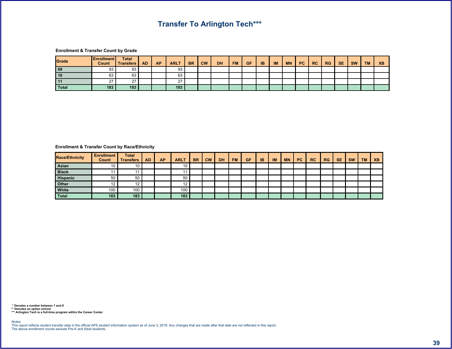$\frac{1}{2}$  555

 $\begin{array}{ccccccccccccccccc}\n\text{\$} & & & & \text{\&} & & & \text{\&} & & \text{\&} & & \text{\&} & \text{\&} & \text{\&} & \text{\&} & \text{\&} & \text{\&} & \text{\&} & \text{\&} & \text{\&} & \text{\&} & \text{\&} & \text{\&} & \text{\&} & \text{\&} & \text{\&} & \text{\&} & \text{\&} & \text{\&} & \text{\&} & \text{\&} & \text{\&} & \text{\&} & \text{\&} & \text{\&} & \text{\&} & \text{\&} & \text{\&} & \text{\&} & \text{\&} & \text{\$ 

|  |  | & 9 | .8 <sub>1</sub> | $^{\prime}8$ | $\sqrt{8}/$ 7% > $\sqrt{7}/$ |  | $\sim$ 11 | $-8"$ | & 7 | $\triangle$ |  |  |
|--|--|-----|-----------------|--------------|------------------------------|--|-----------|-------|-----|-------------|--|--|
|  |  |     |                 |              |                              |  |           |       |     |             |  |  |
|  |  |     |                 |              |                              |  |           |       |     |             |  |  |
|  |  |     |                 |              |                              |  |           |       |     |             |  |  |
|  |  |     |                 |              |                              |  |           |       |     |             |  |  |

<span id="page-39-0"></span> $\begin{array}{ccccccc}\n\text{\$} & & & \text{\&} & & \text{\&} & & \text{\&} & & \text{\&} & \text{\&} & \text{\&} & \text{\&} & \text{\&} & \text{\&} & \text{\&} & \text{\&} & \text{\&} & \text{\&} & \text{\&} & \text{\&} & \text{\&} & \text{\&} & \text{\&} & \text{\&} & \text{\&} & \text{\&} & \text{\&} & \text{\&} & \text{\&} & \text{\&} & \text{\&} & \text{\&} & \text{\&} & \text{\&} & \text{\&} & \text{\&} & \text{\&} & \text{\&} & \text$ 

| 8 A |  |  | $89$ | .8 <sub>1</sub> |  |  |  |  | 8" | & 7 | S <sub>1</sub> |  |  |
|-----|--|--|------|-----------------|--|--|--|--|----|-----|----------------|--|--|
|     |  |  |      |                 |  |  |  |  |    |     |                |  |  |
|     |  |  |      |                 |  |  |  |  |    |     |                |  |  |
|     |  |  |      |                 |  |  |  |  |    |     |                |  |  |
|     |  |  |      |                 |  |  |  |  |    |     |                |  |  |
|     |  |  |      |                 |  |  |  |  |    |     |                |  |  |
|     |  |  |      |                 |  |  |  |  |    |     |                |  |  |

 $5'$  ) ) 6<br>55'<br>555 ! - ! 6  $\prec$   $\parallel$   $\#$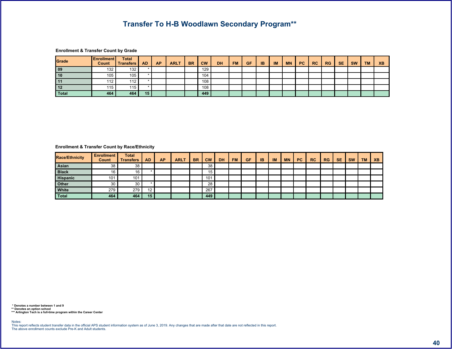|    |        |  | 89 | .8 <sub>1</sub> |           | $^{\prime}8$ | % / |  | $7\%$ > $\vert$ > $\vert$ >/ $\vert$ / |  | 8" | & 7 | $\bullet$ |  |  |
|----|--------|--|----|-----------------|-----------|--------------|-----|--|----------------------------------------|--|----|-----|-----------|--|--|
|    |        |  |    |                 |           |              |     |  |                                        |  |    |     |           |  |  |
|    |        |  |    |                 |           |              |     |  |                                        |  |    |     |           |  |  |
|    |        |  |    |                 |           |              |     |  |                                        |  |    |     |           |  |  |
|    |        |  |    |                 |           |              |     |  |                                        |  |    |     |           |  |  |
| 21 | $\sim$ |  |    |                 | ററ<br>z z |              |     |  |                                        |  |    |     |           |  |  |

<span id="page-40-0"></span> $\begin{array}{ccccccccccccccccc}\n\text{\$} & & & \text{\&} & & \text{\&} & & \text{\&} & & \text{\&} & & \text{\&} & & \text{\&} & & \text{\&} & & \text{\&} & & \text{\&} & & \text{\&} & & \text{\&} & & \text{\&} & & \text{\&} & & \text{\&} & & \text{\&} & & \text{\&} & & \text{\&} & & \text{\&} & & \text{\&} & & \text{\&} & & \text{\&} & & \text{\&} & & \text{\&} & & \text{\&} & & \text{\&} & & \text{\&} & & \text{\&} & & \text{\&} & & \text{\&$ 

| 8 A |                  |                  |  | & 9 | 8 <sub>1</sub> |      | 18 | $%$ / | $7\%$ >. | $\sim$ $>$ $/$ $\sim$ | $\mathbf{u}$ | 8" | & 7 | $\mathbb{S}^-$ |  |  |
|-----|------------------|------------------|--|-----|----------------|------|----|-------|----------|-----------------------|--------------|----|-----|----------------|--|--|
|     |                  |                  |  |     |                |      |    |       |          |                       |              |    |     |                |  |  |
|     |                  |                  |  |     |                |      |    |       |          |                       |              |    |     |                |  |  |
|     |                  |                  |  |     |                |      |    |       |          |                       |              |    |     |                |  |  |
|     |                  |                  |  |     |                |      |    |       |          |                       |              |    |     |                |  |  |
|     |                  |                  |  |     |                | $=$  |    |       |          |                       |              |    |     |                |  |  |
|     | $\sim$ $\lambda$ | $\sim$ $\lambda$ |  |     |                | ່າ າ |    |       |          |                       |              |    |     |                |  |  |

 $55'$  ) ) 6<br>55 ! - 1 6  $\prec$  (  $\#$  )

 $% 85$  !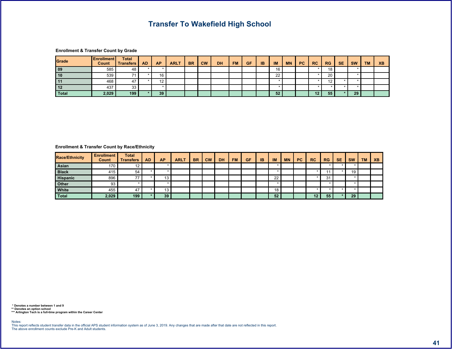$\langle \hspace{.1cm} \cdot \hspace{.1cm} \rangle$  :  $\hspace{.18cm} \hspace{.18cm} 8$  !

 $\begin{array}{ccccccccccccccccc}\n\text{\textbf{S}} & & & \text{\textbf{0}} & & & & \text{\textbf{0}} & & & \text{\textbf{0}} & & \text{\textbf{0}} & & \text{\textbf{0}} & & \text{\textbf{0}} & & \text{\textbf{0}} & & \text{\textbf{0}} & & \text{\textbf{0}} & & \text{\textbf{0}} & & \text{\textbf{0}} & & \text{\textbf{0}} & & \text{\textbf{0}} & & \text{\textbf{0}} & & \text{\textbf{0}} & & \text{\textbf{0}} & & \text{\textbf{0}} & & \text{\textbf{0}} & & \text{\textbf{0}} & & \text{\text$ 

|                      |  | 89 | .8 <sub>1</sub> | $"$ < $\vert$ | $^{\prime}8$ | $%$ / | $7\%$ > $>$ $\frac{1}{\sqrt{2}}$ |  |  | $\begin{array}{ccc} \end{array}$ | & 7 | $\triangle$ |  |  |
|----------------------|--|----|-----------------|---------------|--------------|-------|----------------------------------|--|--|----------------------------------|-----|-------------|--|--|
|                      |  |    |                 |               |              |       |                                  |  |  |                                  |     |             |  |  |
| 38                   |  |    |                 |               |              |       |                                  |  |  |                                  |     |             |  |  |
| $\sim$<br>$\dot{}$ = |  |    |                 |               |              |       |                                  |  |  |                                  |     |             |  |  |
|                      |  |    |                 |               |              |       |                                  |  |  |                                  |     |             |  |  |
|                      |  |    |                 |               |              |       |                                  |  |  |                                  |     |             |  |  |

<span id="page-41-0"></span> $\begin{array}{ccccccc}\n\text{\$} & & & \text{\&} & & \text{\&} & & \text{\&} & & \text{\&} & \text{\&} & \text{\&} & \text{\&} & \text{\&} & \text{\&} & \text{\&} & \text{\&} & \text{\&} & \text{\&} & \text{\&} & \text{\&} & \text{\&} & \text{\&} & \text{\&} & \text{\&} & \text{\&} & \text{\&} & \text{\&} & \text{\&} & \text{\&} & \text{\&} & \text{\&} & \text{\&} & \text{\&} & \text{\&} & \text{\&} & \text{\&} & \text{\&} & \text{\&} & \text$ 

| 8 A |               |  | & 9 | $.8$   $\degree$ < |  | $ 8 $ %/ 7% > >// |  |  | 8" | & 7 |  |  |
|-----|---------------|--|-----|--------------------|--|-------------------|--|--|----|-----|--|--|
|     |               |  |     |                    |  |                   |  |  |    |     |  |  |
|     |               |  |     |                    |  |                   |  |  |    |     |  |  |
|     |               |  |     |                    |  |                   |  |  |    |     |  |  |
|     |               |  |     |                    |  |                   |  |  |    |     |  |  |
|     | $\sim$ $\sim$ |  |     |                    |  |                   |  |  |    |     |  |  |
|     |               |  |     |                    |  |                   |  |  |    |     |  |  |

 $5'$  ) ) 6<br>55  $\pm$  -  $\pm$  6  $\pm$  - $\prec$  (  $\#$  )

 $% 85$  !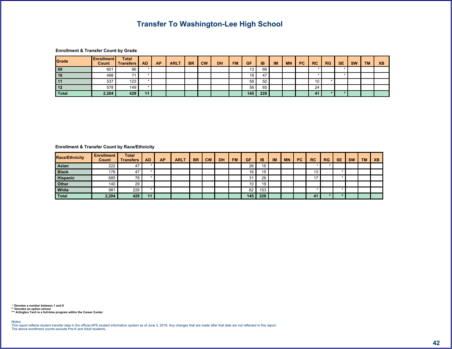$\lt$  ! -9 8!

 $\begin{array}{ccccccc}\n\text{\$} & & \text{\&} & & \text{\&} & & \text{\&} & & \text{\&} & \text{\&} & \text{\&} & \text{\&} & \text{\&} & \text{\&} & \text{\&} & \text{\&} & \text{\&} & \text{\&} & \text{\&} & \text{\&} & \text{\&} & \text{\&} & \text{\&} & \text{\&} & \text{\&} & \text{\&} & \text{\&} & \text{\&} & \text{\&} & \text{\&} & \text{\&} & \text{\&} & \text{\&} & \text{\&} & \text{\&} & \text{\&} & \text{\&} & \text{\&} & \text{\$ 

|    |  | & 9 | 8 <sup>1</sup> | $"$ $ "$ | $^{\prime}8$ | % / | $7\%$ > > $\frac{1}{1}$ |            |  | 8" | 87 | $\triangle$ |  |  |
|----|--|-----|----------------|----------|--------------|-----|-------------------------|------------|--|----|----|-------------|--|--|
| -  |  |     |                |          |              |     |                         | $=$ $\tau$ |  |    |    |             |  |  |
|    |  |     |                |          |              |     |                         |            |  |    |    |             |  |  |
| 38 |  |     |                |          |              |     |                         |            |  |    |    |             |  |  |
|    |  |     |                |          |              |     |                         |            |  |    |    |             |  |  |
|    |  |     |                |          |              |     |                         |            |  |    |    |             |  |  |

<span id="page-42-0"></span> $\begin{array}{ccccccccccccccccc}\n\text{\textbf{S}} & \text{\textbf{S}} & \text{\textbf{S}} & \text{\textbf{S}} & \text{\textbf{S}} & \text{\textbf{S}} & \text{\textbf{S}} & \text{\textbf{S}} & \text{\textbf{S}} & \text{\textbf{S}} & \text{\textbf{S}} & \text{\textbf{S}} & \text{\textbf{S}} & \text{\textbf{S}} & \text{\textbf{S}} & \text{\textbf{S}} & \text{\textbf{S}} & \text{\textbf{S}} & \text{\textbf{S}} & \text{\textbf{S}} & \text{\textbf{S}} & \text{\textbf{S}} & \text{\textbf{S}} & \$ 

| 8 A |  |  | & 9 |  |  | 8   $\vert \cdot \vert$   8   %/  7%  >   >/  / |  |  | 8" | 87 | $\mathbb{S}$ |  |  |
|-----|--|--|-----|--|--|-------------------------------------------------|--|--|----|----|--------------|--|--|
|     |  |  |     |  |  |                                                 |  |  |    |    |              |  |  |
|     |  |  |     |  |  |                                                 |  |  |    |    |              |  |  |
|     |  |  |     |  |  |                                                 |  |  |    |    |              |  |  |
|     |  |  |     |  |  |                                                 |  |  |    |    |              |  |  |
|     |  |  |     |  |  |                                                 |  |  |    |    |              |  |  |
|     |  |  |     |  |  |                                                 |  |  |    |    |              |  |  |

5 ') ) 6<br>55 ' | - | 6 ' '  $\prec$  (  $\#$  )

 $\qquad \qquad \qquad$  (  $\qquad \qquad$  )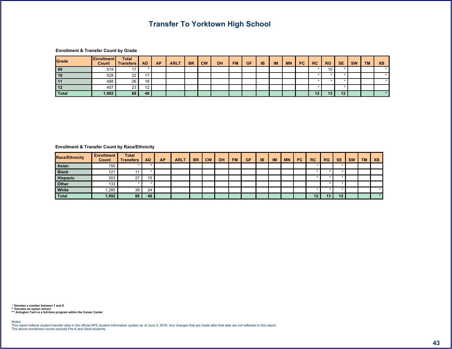$=$  ; 6 8 !

 $\begin{array}{ccccccccccccccccc}\n\text{\text{\textbf{S}}} & & & & \text{\textbf{0}} & & & & \text{\textbf{0}} & & & \text{\textbf{1}} & & \text{\textbf{0}} & & \text{\textbf{1}} & & \text{\textbf{0}} & & \text{\textbf{1}} & & \text{\textbf{0}} & & \text{\textbf{1}} & & \text{\textbf{0}} & & \text{\textbf{0}} & & \text{\textbf{1}} & & \text{\textbf{0}} & & \text{\textbf{0}} & & \text{\textbf{0}} & & \text{\textbf{0}} & & \text{\textbf{0}} & & \text{\textbf{0}} & & \text{\textbf{0}} & & \$ 

|               |  | & 9 | .8 <sub>1</sub> | $^{\prime}8$ | $\left  \frac{\%}{\%} \right $ 7% > $\left  \frac{\%}{\%} \right $ |  |  | 8" | & 7 | $\triangle$ |  |  |
|---------------|--|-----|-----------------|--------------|--------------------------------------------------------------------|--|--|----|-----|-------------|--|--|
|               |  |     |                 |              |                                                                    |  |  |    |     |             |  |  |
|               |  |     |                 |              |                                                                    |  |  |    |     |             |  |  |
|               |  |     |                 |              |                                                                    |  |  |    |     |             |  |  |
| $\sim$ $\sim$ |  |     |                 |              |                                                                    |  |  |    |     |             |  |  |
|               |  |     |                 |              |                                                                    |  |  |    |     |             |  |  |

<span id="page-43-0"></span> $\begin{array}{ccccccccccccccccc}\n\text{\$} & & & & \text{\&} & & & \text{\&} & & \text{\&} & & \text{\&} & & \text{\&} & \text{\&} & \text{\&} & \text{\&} & \text{\&} & \text{\&} & \text{\&} & \text{\&} & \text{\&} & \text{\&} & \text{\&} & \text{\&} & \text{\&} & \text{\&} & \text{\&} & \text{\&} & \text{\&} & \text{\&} & \text{\&} & \text{\&} & \text{\&} & \text{\&} & \text{\&} & \text{\&} & \text{\&} & \text{\&} & \text{\&} & \text{\&} & \text$ 

| 8 A |  |  | 89 |  |  | $8 \mid \text{``<} \mid 8 \mid \% /   7\%   >   >   /   /  $ |  |  | $\begin{array}{ccc} \bullet & \bullet \\ \bullet & \bullet \end{array}$ | 87 |  |  |
|-----|--|--|----|--|--|--------------------------------------------------------------|--|--|-------------------------------------------------------------------------|----|--|--|
|     |  |  |    |  |  |                                                              |  |  |                                                                         |    |  |  |
|     |  |  |    |  |  |                                                              |  |  |                                                                         |    |  |  |
|     |  |  |    |  |  |                                                              |  |  |                                                                         |    |  |  |
|     |  |  |    |  |  |                                                              |  |  |                                                                         |    |  |  |
|     |  |  |    |  |  |                                                              |  |  |                                                                         |    |  |  |
|     |  |  |    |  |  |                                                              |  |  |                                                                         |    |  |  |

 $55'$  ) ) 6<br>55 ! - ! 6 \* \*  $\prec$   $\parallel$   $\#$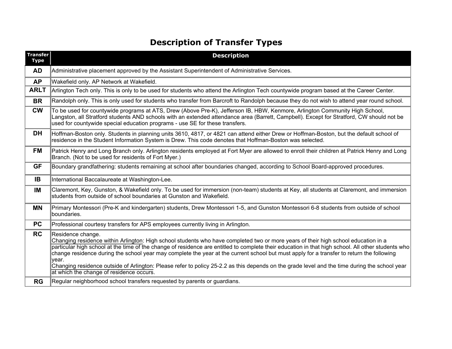$2 \t! 2 \t 8$ 

<span id="page-44-0"></span>

| $\frac{1}{2}$<br>$\&$ |                 |              |                                                                 |                |              |                         |              |              |                          |                                 |                  |                           |                      |                |                     |                            |                          |                                           |                          |                             |  |
|-----------------------|-----------------|--------------|-----------------------------------------------------------------|----------------|--------------|-------------------------|--------------|--------------|--------------------------|---------------------------------|------------------|---------------------------|----------------------|----------------|---------------------|----------------------------|--------------------------|-------------------------------------------|--------------------------|-----------------------------|--|
| $\mathcal{A}$         |                 |              |                                                                 |                |              |                         |              |              |                          |                                 |                  |                           |                      |                |                     |                            | Ι.                       |                                           |                          |                             |  |
|                       | A 0             |              |                                                                 | $\mathbf{I}$   | $\,<\,$      | $\overline{0}$          |              | A 0          | $\sim$ 1                 |                                 |                  |                           |                      |                |                     |                            |                          |                                           |                          |                             |  |
| 89                    |                 |              |                                                                 |                | $\mathbf{I}$ |                         |              |              |                          |                                 |                  |                           |                      |                |                     |                            |                          |                                           |                          |                             |  |
| . &                   | $\sqrt{2}$      |              |                                                                 |                |              |                         |              |              |                          |                                 |                  |                           |                      | $6\phantom{1}$ |                     |                            |                          |                                           |                          |                             |  |
| $\overline{\cdot}$    | ÷.              |              | $\, \, \raisebox{-1.5pt}{\text{\circle*{1.5}}}\,$               |                |              |                         |              | $< 8\,$      | $\sqrt{$}8$              |                                 | $\star$          | $^\text{\textregistered}$ | ( , \$ %             |                | Ţ.                  | 46\$ 96A\$ (<br>$*6$       | $\sqrt[3]{5}$            | $\, \, \raisebox{12pt}{$\scriptstyle \$}$ |                          | $\overline{7}$<br>, ! . $@$ |  |
| '8                    | $9\,$           |              | $\overline{6}$                                                  |                | $\mathbf{I}$ | $\overline{\mathbf{4}}$ |              |              |                          |                                 | $& =$<br>$\,8\,$ | $\sqrt{$}$ ?              | > \$                 | $\overline{?}$ | $\mathsf g$         | $\,6\,$                    | $8\phantom{1}$           |                                           | $\overline{9}$           | $6\phantom{.}$<br>Ţ.        |  |
| % /                   | $6\phantom{1}6$ |              | $\begin{array}{c} 0 & 9 \\ 1 & * \\ 0 & * \\ 0 & * \end{array}$ |                | ेरे ।        | $\,6\,$                 |              | $\mathbf{I}$ |                          | $\sim$ $\sim$ $\sim$ $\sim$     |                  | $\mathbf{1}_{\mathbf{y}}$ |                      |                | $\tau_{\rm{max}}=1$ |                            |                          |                                           |                          |                             |  |
| 7 %                   | $\,6\,$         |              |                                                                 |                |              | $\overline{\#}$         |              |              |                          |                                 |                  |                           |                      |                |                     | $\overline{\$}$            |                          |                                           | $\,6$                    |                             |  |
| $>$ .                 | $\overline{4}$  |              |                                                                 | $6\phantom{a}$ |              |                         | $\mathsf{A}$ |              |                          | $\mathbb{C} \subset \mathbb{R}$ |                  |                           |                      |                |                     |                            |                          |                                           |                          |                             |  |
| $>$ /                 | $\overline{7}$  |              |                                                                 | \$ ( \$ 1      |              |                         | \$C A 0      |              |                          | $\mathbf{I}$<br>$\mathbf{1}$    |                  |                           | A 0                  | $\mathcal{A}$  | $\overline{\cdot}$  | $\overline{\phantom{a}}$ , |                          | $\left($                                  | $\overline{\mathcal{L}}$ |                             |  |
| $\sqrt{2}$            |                 |              | $\ddot{\phantom{a}}$ ,                                          |                | $\star$      |                         | $\mathbf 0$  |              | $\overline{\phantom{a}}$ |                                 |                  | $\overline{\$}$ 8         | $\ddot{\phantom{1}}$ |                | 3\$                 | $\mathbf 1$                | $\overline{\phantom{a}}$ |                                           | $\equiv$                 |                             |  |
| $\mathbf{H}$          |                 |              |                                                                 |                |              |                         |              |              |                          |                                 |                  |                           |                      |                |                     | $\mathbf{I}$               |                          |                                           |                          |                             |  |
| & "                   | $\overline{7}$  |              |                                                                 | $\mathbf{I}$   |              |                         |              | # 9          |                          |                                 |                  |                           |                      |                |                     |                            |                          |                                           |                          |                             |  |
|                       | $\overline{7}$  | $\mathbf{I}$ |                                                                 |                |              |                         |              |              | $\#$                     |                                 |                  |                           |                      | $3 \quad !$    |                     |                            |                          |                                           |                          |                             |  |
| & 7                   | $\vert\vert$    |              |                                                                 |                |              |                         |              |              | $\overline{D}$           |                                 |                  |                           |                      |                | $\pmb{\cdot}$       |                            |                          |                                           |                          |                             |  |